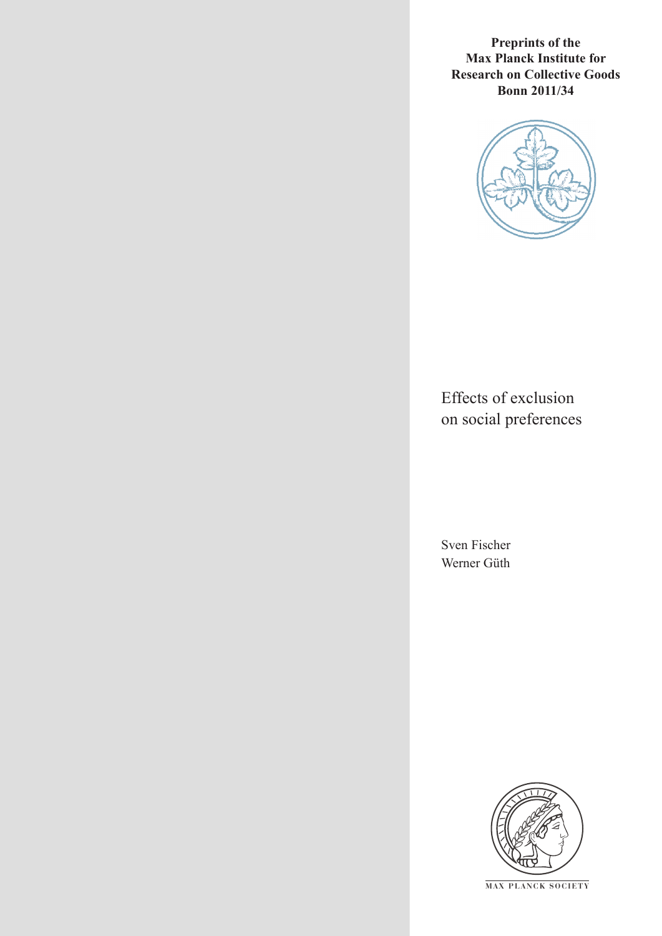**Preprints of the Max Planck Institute for Research on Collective Goods Bonn 2011/34**



Effects of exclusion on social preferences

Sven Fischer Werner Güth



**M AX PLANCK SOCIETY**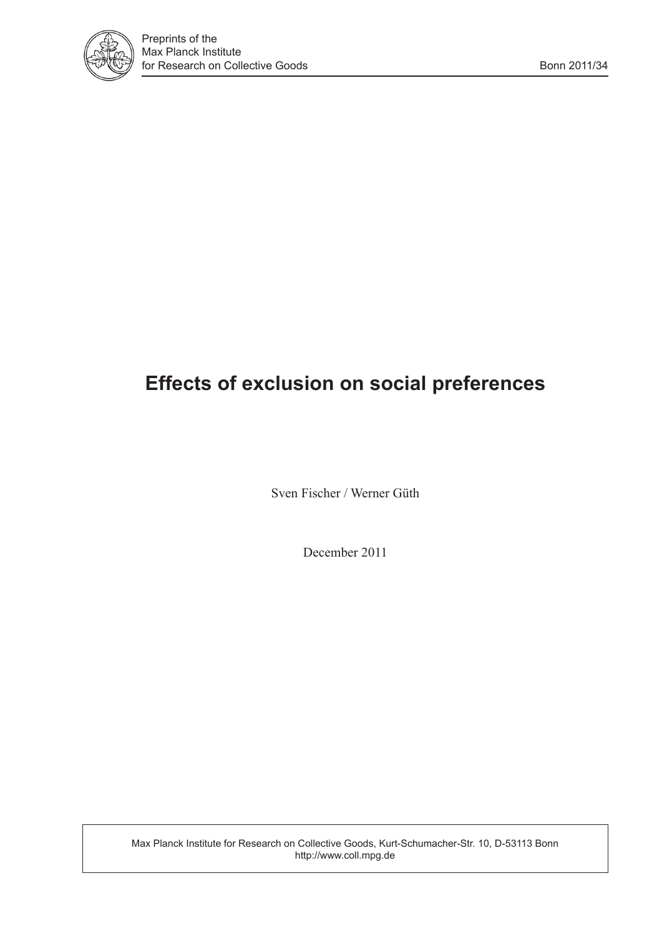

# **Effects of exclusion on social preferences**

Sven Fischer / Werner Güth

December 2011

Max Planck Institute for Research on Collective Goods, Kurt-Schumacher-Str. 10, D-53113 Bonn http://www.coll.mpg.de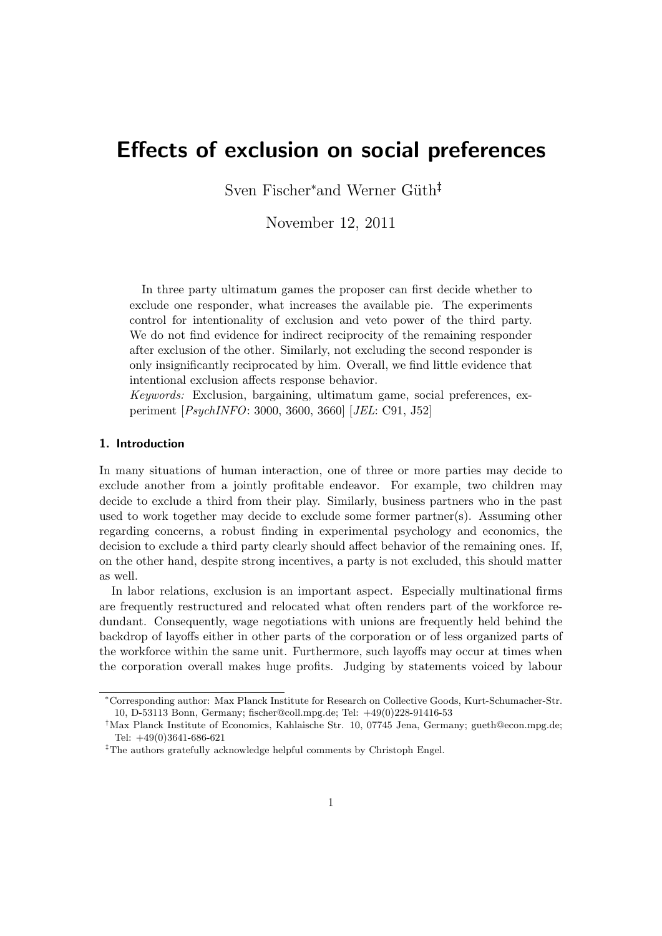## **Effects of exclusion on social preferences**

Sven Fischer*<sup>∗</sup>*and Werner G¨uth*†‡*

November 12, 2011

In three party ultimatum games the proposer can first decide whether to exclude one responder, what increases the available pie. The experiments control for intentionality of exclusion and veto power of the third party. We do not find evidence for indirect reciprocity of the remaining responder after exclusion of the other. Similarly, not excluding the second responder is only insignificantly reciprocated by him. Overall, we find little evidence that intentional exclusion affects response behavior.

*Keywords:* Exclusion, bargaining, ultimatum game, social preferences, experiment [*PsychINFO*: 3000, 3600, 3660] [*JEL*: C91, J52]

## **1. Introduction**

In many situations of human interaction, one of three or more parties may decide to exclude another from a jointly profitable endeavor. For example, two children may decide to exclude a third from their play. Similarly, business partners who in the past used to work together may decide to exclude some former partner(s). Assuming other regarding concerns, a robust finding in experimental psychology and economics, the decision to exclude a third party clearly should affect behavior of the remaining ones. If, on the other hand, despite strong incentives, a party is not excluded, this should matter as well.

In labor relations, exclusion is an important aspect. Especially multinational firms are frequently restructured and relocated what often renders part of the workforce redundant. Consequently, wage negotiations with unions are frequently held behind the backdrop of layoffs either in other parts of the corporation or of less organized parts of the workforce within the same unit. Furthermore, such layoffs may occur at times when the corporation overall makes huge profits. Judging by statements voiced by labour

*<sup>∗</sup>*Corresponding author: Max Planck Institute for Research on Collective Goods, Kurt-Schumacher-Str. 10, D-53113 Bonn, Germany; fischer@coll.mpg.de; Tel: +49(0)228-91416-53

*<sup>†</sup>*Max Planck Institute of Economics, Kahlaische Str. 10, 07745 Jena, Germany; gueth@econ.mpg.de; Tel: +49(0)3641-686-621

*<sup>‡</sup>*The authors gratefully acknowledge helpful comments by Christoph Engel.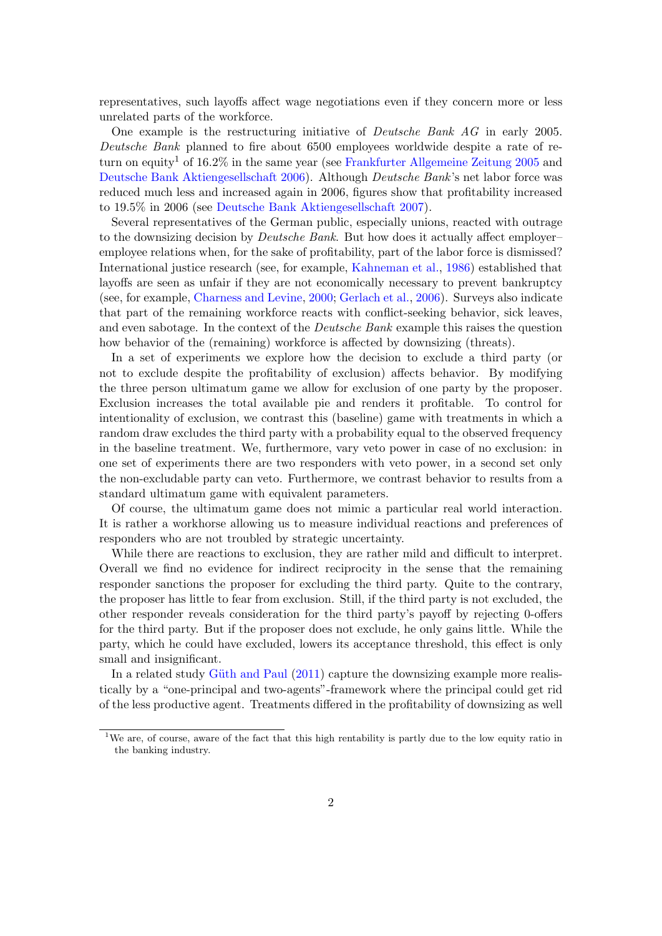representatives, such layoffs affect wage negotiations even if they concern more or less unrelated parts of the workforce.

One example is the restructuring initiative of *Deutsche Bank AG* in early 2005. *Deutsche Bank* planned to fire about 6500 employees worldwide despite a rate of return on equity<sup>1</sup> of 16.2% in the same year (see Frankfurter Allgemeine Zeitung 2005 and Deutsche Bank Aktiengesellschaft 2006). Although *Deutsche Bank*'s net labor force was reduced much less and increased again in 2006, figures show that profitability increased to 19.5% in 2006 (see Deutsche Bank Aktiengesellschaft 2007).

Several representatives of the German public, especially unions, reacted with outrage to the downsizing decision by *Deutsche Bank*. But how does it actually affect employer– employee relations when, for the sake of profitability, part of the labor force is dismissed? International justice research (see, for example, Kahneman et al., 1986) established that layoffs are seen as unfair if they are not economically necessary to prevent bankruptcy (see, for example, Charness and Levine, 2000; Gerlach et al., 2006). Surveys also indicate that part of the remaining workforce reacts with conflict-seeking behavior, sick leaves, and even sabotage. In the context of the *Deutsche Bank* example this raises the question how behavior of the (remaining) workforce is affected by downsizing (threats).

In a set of experiments we explore how the decision to exclude a third party (or not to exclude despite the profitability of exclusion) affects behavior. By modifying the three person ultimatum game we allow for exclusion of one party by the proposer. Exclusion increases the total available pie and renders it profitable. To control for intentionality of exclusion, we contrast this (baseline) game with treatments in which a random draw excludes the third party with a probability equal to the observed frequency in the baseline treatment. We, furthermore, vary veto power in case of no exclusion: in one set of experiments there are two responders with veto power, in a second set only the non-excludable party can veto. Furthermore, we contrast behavior to results from a standard ultimatum game with equivalent parameters.

Of course, the ultimatum game does not mimic a particular real world interaction. It is rather a workhorse allowing us to measure individual reactions and preferences of responders who are not troubled by strategic uncertainty.

While there are reactions to exclusion, they are rather mild and difficult to interpret. Overall we find no evidence for indirect reciprocity in the sense that the remaining responder sanctions the proposer for excluding the third party. Quite to the contrary, the proposer has little to fear from exclusion. Still, if the third party is not excluded, the other responder reveals consideration for the third party's payoff by rejecting 0-offers for the third party. But if the proposer does not exclude, he only gains little. While the party, which he could have excluded, lowers its acceptance threshold, this effect is only small and insignificant.

In a related study Güth and Paul (2011) capture the downsizing example more realistically by a "one-principal and two-agents"-framework where the principal could get rid of the less productive agent. Treatments differed in the profitability of downsizing as well

<sup>&</sup>lt;sup>1</sup>We are, of course, aware of the fact that this high rentability is partly due to the low equity ratio in the banking industry.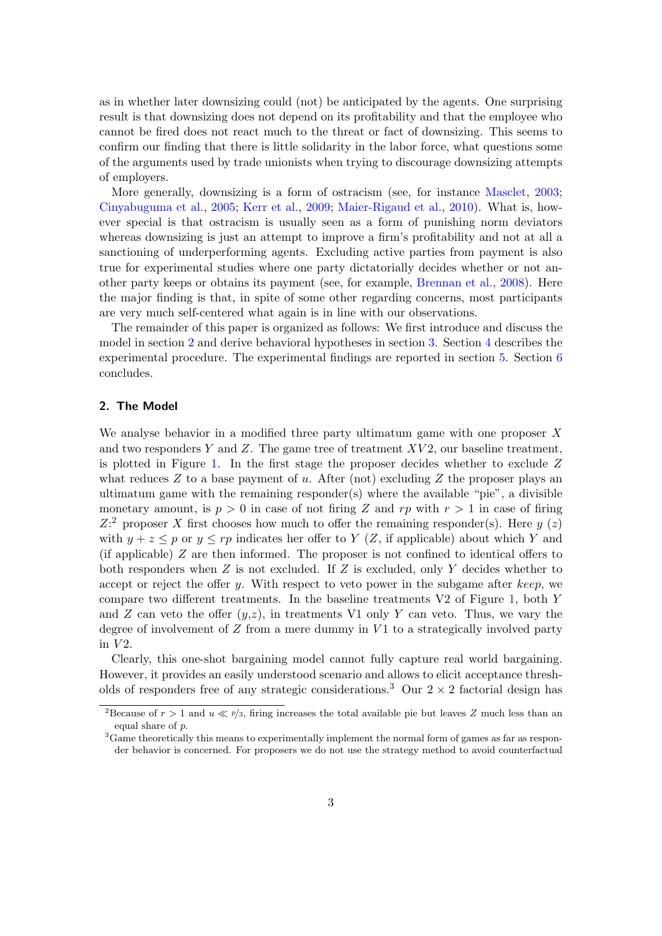as in whether later downsizing could (not) be anticipated by the agents. One surprising result is that downsizing does not depend on its profitability and that the employee who cannot be fired does not react much to the threat or fact of downsizing. This seems to confirm our finding that there is little solidarity in the labor force, what questions some of the arguments used by trade unionists when trying to discourage downsizing attempts of employers.

More generally, downsizing is a form of ostracism (see, for instance Masclet, 2003; Cinyabuguma et al., 2005; Kerr et al., 2009; Maier-Rigaud et al., 2010). What is, however special is that ostracism is usually seen as a form of punishing norm deviators whereas downsizing is just an attempt to improve a firm's profitability and not at all a sanctioning of underperforming agents. Excluding active parties from payment is also true for experimental studies where one party dictatorially decides whether or not another party keeps or obtains its payment (see, for example, Brennan et al., 2008). Here the major finding is that, in spite of some other regarding concerns, most participants are very much self-centered what again is in line with our observations.

The remainder of this paper is organized as follows: We first introduce and discuss the model in section 2 and derive behavioral hypotheses in section 3. Section 4 describes the experimental procedure. The experimental findings are reported in section 5. Section 6 concludes.

## **2. The Model**

We analyse behavior in a modified three party ultimatum game with one proposer *X* and two responders *Y* and *Z*. The game tree of treatment *XV* 2, our baseline treatment, is plotted in Figure 1. In the first stage the proposer decides whether to exclude *Z* what reduces *Z* to a base payment of *u*. After (not) excluding *Z* the proposer plays an ultimatum game with the remaining responder(s) where the available "pie", a divisible monetary amount, is  $p > 0$  in case of not firing Z and  $rp$  with  $r > 1$  in case of firing  $Z$ <sup>2</sup> proposer *X* first chooses how much to offer the remaining responder(s). Here *y* (*z*) with  $y + z \leq p$  or  $y \leq rp$  indicates her offer to *Y* (*Z*, if applicable) about which *Y* and (if applicable) *Z* are then informed. The proposer is not confined to identical offers to both responders when *Z* is not excluded. If *Z* is excluded, only *Y* decides whether to accept or reject the offer *y*. With respect to veto power in the subgame after *keep*, we compare two different treatments. In the baseline treatments V2 of Figure 1, both *Y* and *Z* can veto the offer  $(y, z)$ , in treatments V1 only *Y* can veto. Thus, we vary the degree of involvement of *Z* from a mere dummy in *V* 1 to a strategically involved party in *V* 2.

Clearly, this one-shot bargaining model cannot fully capture real world bargaining. However, it provides an easily understood scenario and allows to elicit acceptance thresholds of responders free of any strategic considerations.<sup>3</sup> Our  $2 \times 2$  factorial design has

<sup>&</sup>lt;sup>2</sup>Because of  $r > 1$  and  $u \ll p/s$ , firing increases the total available pie but leaves *Z* much less than an equal share of *p*.

<sup>3</sup>Game theoretically this means to experimentally implement the normal form of games as far as responder behavior is concerned. For proposers we do not use the strategy method to avoid counterfactual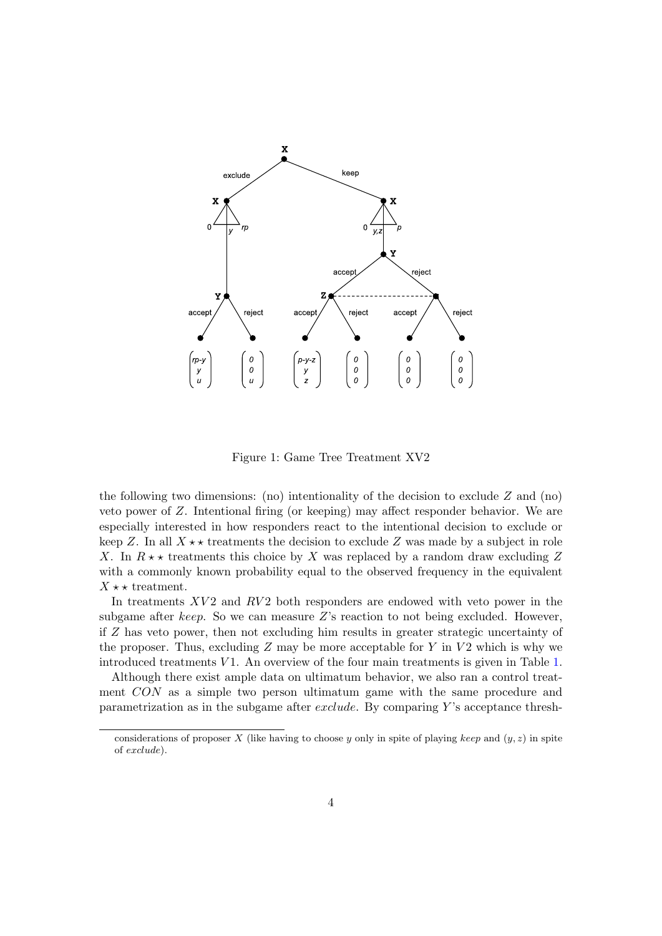

Figure 1: Game Tree Treatment XV2

the following two dimensions: (no) intentionality of the decision to exclude *Z* and (no) veto power of *Z*. Intentional firing (or keeping) may affect responder behavior. We are especially interested in how responders react to the intentional decision to exclude or keep Z. In all  $X \star \star$  treatments the decision to exclude Z was made by a subject in role *X*. In  $R \star \star$  treatments this choice by *X* was replaced by a random draw excluding *Z* with a commonly known probability equal to the observed frequency in the equivalent  $X \star \star \text{ treatment.}$ 

In treatments *XV*2 and *RV*<sup>2</sup> both responders are endowed with veto power in the subgame after *keep*. So we can measure *Z*'s reaction to not being excluded. However, if *Z* has veto power, then not excluding him results in greater strategic uncertainty of the proposer. Thus, excluding *Z* may be more acceptable for *Y* in *V* 2 which is why we introduced treatments *V* 1. An overview of the four main treatments is given in Table 1.

Although there exist ample data on ultimatum behavior, we also ran a control treatment *CON* as a simple two person ultimatum game with the same procedure and parametrization as in the subgame after *exclude*. By comparing *Y* 's acceptance thresh-

considerations of proposer *X* (like having to choose *y* only in spite of playing *keep* and  $(y, z)$  in spite of *exclude*).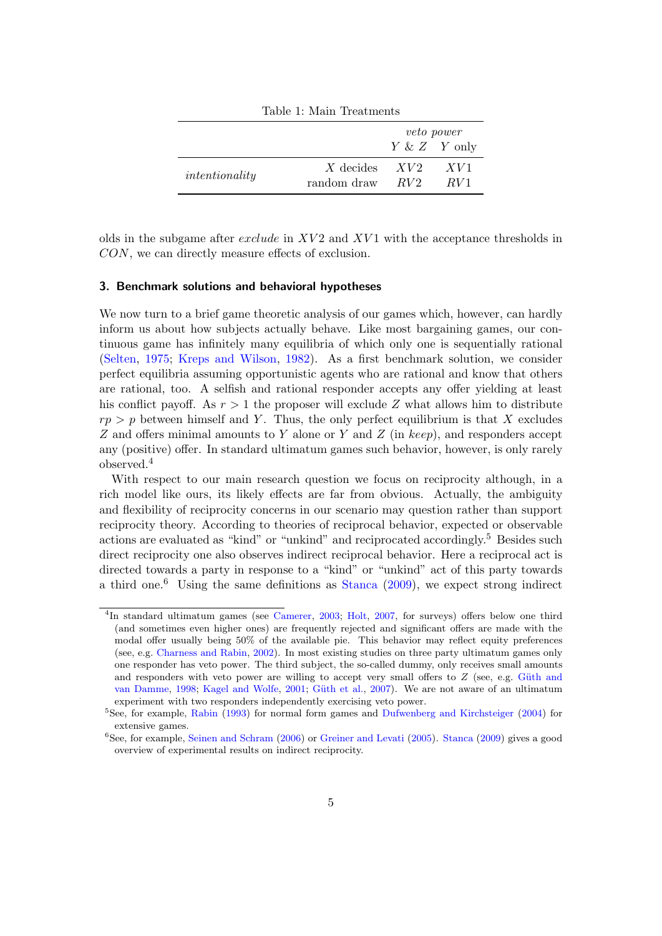| TADIC 1, IVIAIII ITCAUIICHUS |                                |                       |                        |
|------------------------------|--------------------------------|-----------------------|------------------------|
|                              |                                |                       | <i>veto power</i>      |
|                              |                                | $Y \& Z \quad Y$ only |                        |
| intentionality               | X decides $XV2$<br>random draw | RV2                   | XVI<br>RV <sub>1</sub> |

Table 1: Main Treatments

olds in the subgame after *exclude* in *XV* 2 and *XV* 1 with the acceptance thresholds in *CON*, we can directly measure effects of exclusion.

## **3. Benchmark solutions and behavioral hypotheses**

We now turn to a brief game theoretic analysis of our games which, however, can hardly inform us about how subjects actually behave. Like most bargaining games, our continuous game has infinitely many equilibria of which only one is sequentially rational (Selten, 1975; Kreps and Wilson, 1982). As a first benchmark solution, we consider perfect equilibria assuming opportunistic agents who are rational and know that others are rational, too. A selfish and rational responder accepts any offer yielding at least his conflict payoff. As *r >* 1 the proposer will exclude *Z* what allows him to distribute  $rp > p$  between himself and *Y*. Thus, the only perfect equilibrium is that *X* excludes *Z* and offers minimal amounts to *Y* alone or *Y* and *Z* (in *keep*), and responders accept any (positive) offer. In standard ultimatum games such behavior, however, is only rarely observed.<sup>4</sup>

With respect to our main research question we focus on reciprocity although, in a rich model like ours, its likely effects are far from obvious. Actually, the ambiguity and flexibility of reciprocity concerns in our scenario may question rather than support reciprocity theory. According to theories of reciprocal behavior, expected or observable actions are evaluated as "kind" or "unkind" and reciprocated accordingly.<sup>5</sup> Besides such direct reciprocity one also observes indirect reciprocal behavior. Here a reciprocal act is directed towards a party in response to a "kind" or "unkind" act of this party towards a third one.<sup>6</sup> Using the same definitions as Stanca  $(2009)$ , we expect strong indirect

<sup>&</sup>lt;sup>4</sup>In standard ultimatum games (see Camerer, 2003; Holt, 2007, for surveys) offers below one third (and sometimes even higher ones) are frequently rejected and significant offers are made with the modal offer usually being 50% of the available pie. This behavior may reflect equity preferences (see, e.g. Charness and Rabin, 2002). In most existing studies on three party ultimatum games only one responder has veto power. The third subject, the so-called dummy, only receives small amounts and responders with veto power are willing to accept very small offers to  $Z$  (see, e.g. Güth and van Damme, 1998; Kagel and Wolfe, 2001; Güth et al., 2007). We are not aware of an ultimatum experiment with two responders independently exercising veto power.

<sup>&</sup>lt;sup>5</sup>See, for example, Rabin (1993) for normal form games and Dufwenberg and Kirchsteiger (2004) for extensive games.

<sup>&</sup>lt;sup>6</sup>See, for example, Seinen and Schram (2006) or Greiner and Levati (2005). Stanca (2009) gives a good overview of experimental results on indirect reciprocity.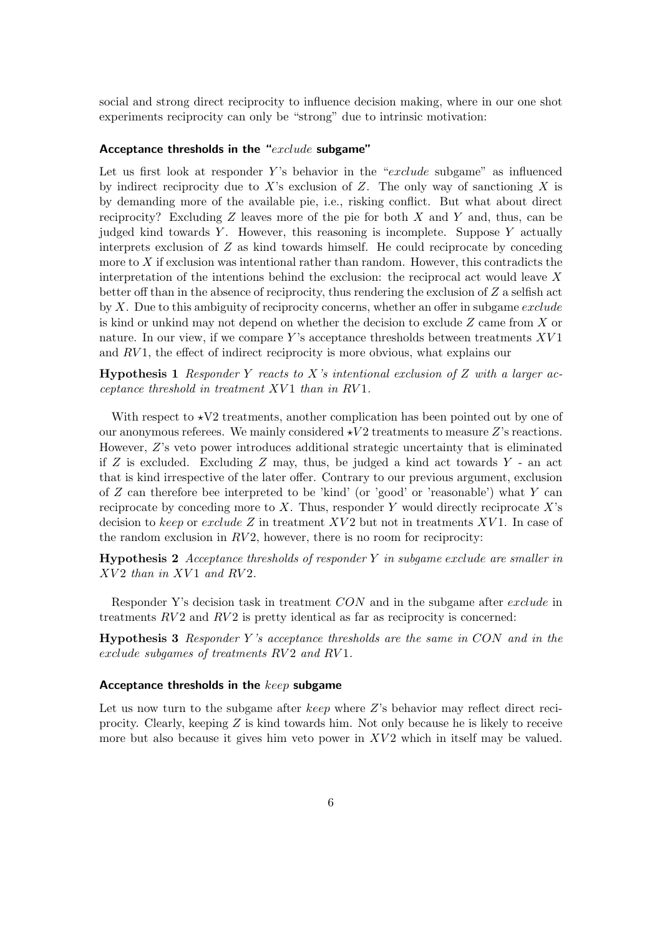social and strong direct reciprocity to influence decision making, where in our one shot experiments reciprocity can only be "strong" due to intrinsic motivation:

#### **Acceptance thresholds in the "***exclude* **subgame"**

Let us first look at responder *Y* 's behavior in the "*exclude* subgame" as influenced by indirect reciprocity due to *X*'s exclusion of *Z*. The only way of sanctioning *X* is by demanding more of the available pie, i.e., risking conflict. But what about direct reciprocity? Excluding *Z* leaves more of the pie for both *X* and *Y* and, thus, can be judged kind towards *Y* . However, this reasoning is incomplete. Suppose *Y* actually interprets exclusion of *Z* as kind towards himself. He could reciprocate by conceding more to *X* if exclusion was intentional rather than random. However, this contradicts the interpretation of the intentions behind the exclusion: the reciprocal act would leave *X* better off than in the absence of reciprocity, thus rendering the exclusion of *Z* a selfish act by *X*. Due to this ambiguity of reciprocity concerns, whether an offer in subgame *exclude* is kind or unkind may not depend on whether the decision to exclude *Z* came from *X* or nature. In our view, if we compare *Y* 's acceptance thresholds between treatments *XV* 1 and *RV* 1, the effect of indirect reciprocity is more obvious, what explains our

**Hypothesis 1** *Responder Y reacts to X's intentional exclusion of Z with a larger acceptance threshold in treatment XV* 1 *than in RV* 1*.*

With respect to  $\star$ V2 treatments, another complication has been pointed out by one of our anonymous referees. We mainly considered  $\star V2$  treatments to measure Z's reactions. However, *Z*'s veto power introduces additional strategic uncertainty that is eliminated if *Z* is excluded. Excluding *Z* may, thus, be judged a kind act towards *Y* - an act that is kind irrespective of the later offer. Contrary to our previous argument, exclusion of *Z* can therefore bee interpreted to be 'kind' (or 'good' or 'reasonable') what *Y* can reciprocate by conceding more to *X*. Thus, responder *Y* would directly reciprocate *X*'s decision to *keep* or *exclude Z* in treatment *XV* 2 but not in treatments *XV* 1. In case of the random exclusion in  $RV2$ , however, there is no room for reciprocity:

**Hypothesis 2** *Acceptance thresholds of responder Y in subgame exclude are smaller in XV* 2 *than in XV* 1 *and RV* 2*.*

Responder Y's decision task in treatment *CON* and in the subgame after *exclude* in treatments *RV* 2 and *RV* 2 is pretty identical as far as reciprocity is concerned:

**Hypothesis 3** *Responder Y 's acceptance thresholds are the same in CON and in the exclude subgames of treatments RV* 2 *and RV* 1*.*

## **Acceptance thresholds in the** *keep* **subgame**

Let us now turn to the subgame after *keep* where *Z*'s behavior may reflect direct reciprocity. Clearly, keeping *Z* is kind towards him. Not only because he is likely to receive more but also because it gives him veto power in XV2 which in itself may be valued.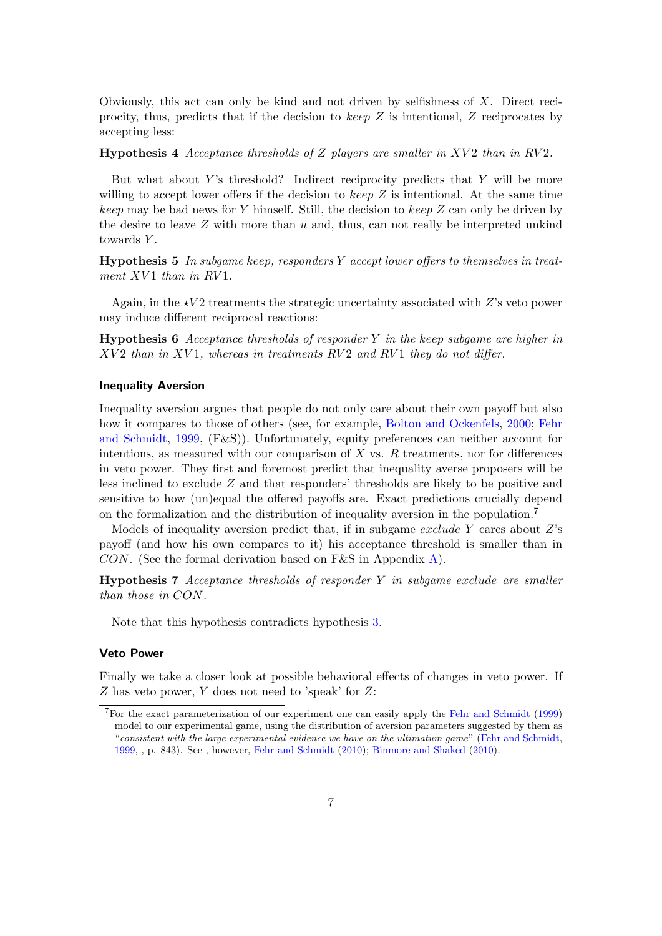Obviously, this act can only be kind and not driven by selfishness of *X*. Direct reciprocity, thus, predicts that if the decision to *keep Z* is intentional, *Z* reciprocates by accepting less:

**Hypothesis 4** *Acceptance thresholds of Z players are smaller in XV* 2 *than in RV* 2*.*

But what about *Y* 's threshold? Indirect reciprocity predicts that *Y* will be more willing to accept lower offers if the decision to *keep Z* is intentional. At the same time *keep* may be bad news for *Y* himself. Still, the decision to *keep Z* can only be driven by the desire to leave *Z* with more than *u* and, thus, can not really be interpreted unkind towards *Y* .

**Hypothesis 5** *In subgame keep, responders Y accept lower offers to themselves in treatment XV* 1 *than in RV* 1*.*

Again, in the  $\star V2$  treatments the strategic uncertainty associated with *Z*'s veto power may induce different reciprocal reactions:

**Hypothesis 6** *Acceptance thresholds of responder Y in the keep subgame are higher in XV* 2 *than in XV* 1*, whereas in treatments RV* 2 *and RV* 1 *they do not differ.*

## **Inequality Aversion**

Inequality aversion argues that people do not only care about their own payoff but also how it compares to those of others (see, for example, Bolton and Ockenfels, 2000; Fehr and Schmidt, 1999, (F&S)). Unfortunately, equity preferences can neither account for intentions, as measured with our comparison of *X* vs. *R* treatments, nor for differences in veto power. They first and foremost predict that inequality averse proposers will be less inclined to exclude *Z* and that responders' thresholds are likely to be positive and sensitive to how (un)equal the offered payoffs are. Exact predictions crucially depend on the formalization and the distribution of inequality aversion in the population.<sup>7</sup>

Models of inequality aversion predict that, if in subgame *exclude Y* cares about *Z*'s payoff (and how his own compares to it) his acceptance threshold is smaller than in *CON*. (See the formal derivation based on F&S in Appendix A).

**Hypothesis 7** *Acceptance thresholds of responder Y in subgame exclude are smaller than those in CON.*

Note that this hypothesis contradicts hypothesis 3.

## **Veto Power**

Finally we take a closer look at possible behavioral effects of changes in veto power. If *Z* has veto power, *Y* does not need to 'speak' for *Z*:

<sup>7</sup>For the exact parameterization of our experiment one can easily apply the Fehr and Schmidt (1999) model to our experimental game, using the distribution of aversion parameters suggested by them as "*consistent with the large experimental evidence we have on the ultimatum game*" (Fehr and Schmidt, 1999, , p. 843). See , however, Fehr and Schmidt (2010); Binmore and Shaked (2010).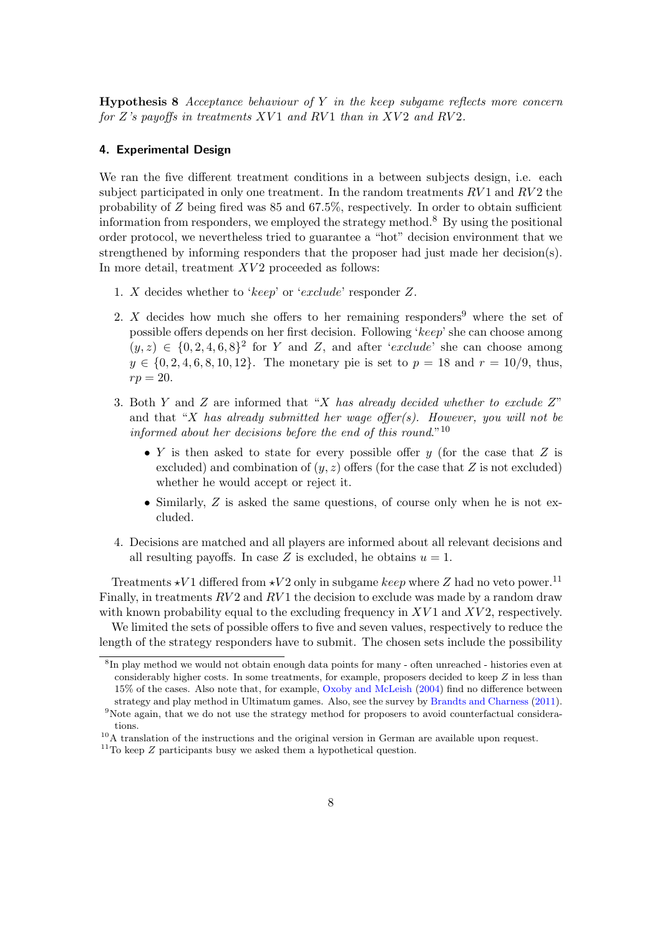**Hypothesis 8** *Acceptance behaviour of Y in the keep subgame reflects more concern for Z's payoffs in treatments XV* 1 *and RV* 1 *than in XV* 2 *and RV* 2*.*

#### **4. Experimental Design**

We ran the five different treatment conditions in a between subjects design, i.e. each subject participated in only one treatment. In the random treatments  $RV1$  and  $RV2$  the probability of *Z* being fired was 85 and 67.5%, respectively. In order to obtain sufficient information from responders, we employed the strategy method.<sup>8</sup> By using the positional order protocol, we nevertheless tried to guarantee a "hot" decision environment that we strengthened by informing responders that the proposer had just made her decision(s). In more detail, treatment *XV2* proceeded as follows:

- 1. *X* decides whether to '*keep*' or '*exclude*' responder *Z*.
- 2. *X* decides how much she offers to her remaining responders<sup>9</sup> where the set of possible offers depends on her first decision. Following '*keep*' she can choose among  $(y, z) \in \{0, 2, 4, 6, 8\}^2$  for *Y* and *Z*, and after '*exclude*' she can choose among  $y \in \{0, 2, 4, 6, 8, 10, 12\}$ . The monetary pie is set to  $p = 18$  and  $r = 10/9$ , thus,  $rp = 20$ .
- 3. Both *Y* and *Z* are informed that "*X has already decided whether to exclude Z*" and that "*X has already submitted her wage offer(s). However, you will not be informed about her decisions before the end of this round*."<sup>10</sup>
	- *• Y* is then asked to state for every possible offer *y* (for the case that *Z* is excluded) and combination of  $(y, z)$  offers (for the case that  $Z$  is not excluded) whether he would accept or reject it.
	- Similarly, *Z* is asked the same questions, of course only when he is not excluded.
- 4. Decisions are matched and all players are informed about all relevant decisions and all resulting payoffs. In case  $Z$  is excluded, he obtains  $u = 1$ .

Treatments  $\star V1$  differed from  $\star V2$  only in subgame *keep* where *Z* had no veto power.<sup>11</sup> Finally, in treatments  $RV2$  and  $RV1$  the decision to exclude was made by a random draw with known probability equal to the excluding frequency in XV1 and XV2, respectively.

We limited the sets of possible offers to five and seven values, respectively to reduce the length of the strategy responders have to submit. The chosen sets include the possibility

<sup>8</sup> In play method we would not obtain enough data points for many - often unreached - histories even at considerably higher costs. In some treatments, for example, proposers decided to keep *Z* in less than 15% of the cases. Also note that, for example, Oxoby and McLeish (2004) find no difference between strategy and play method in Ultimatum games. Also, see the survey by Brandts and Charness (2011).

<sup>&</sup>lt;sup>9</sup>Note again, that we do not use the strategy method for proposers to avoid counterfactual considerations.

<sup>&</sup>lt;sup>10</sup>A translation of the instructions and the original version in German are available upon request.

 $11$ To keep  $Z$  participants busy we asked them a hypothetical question.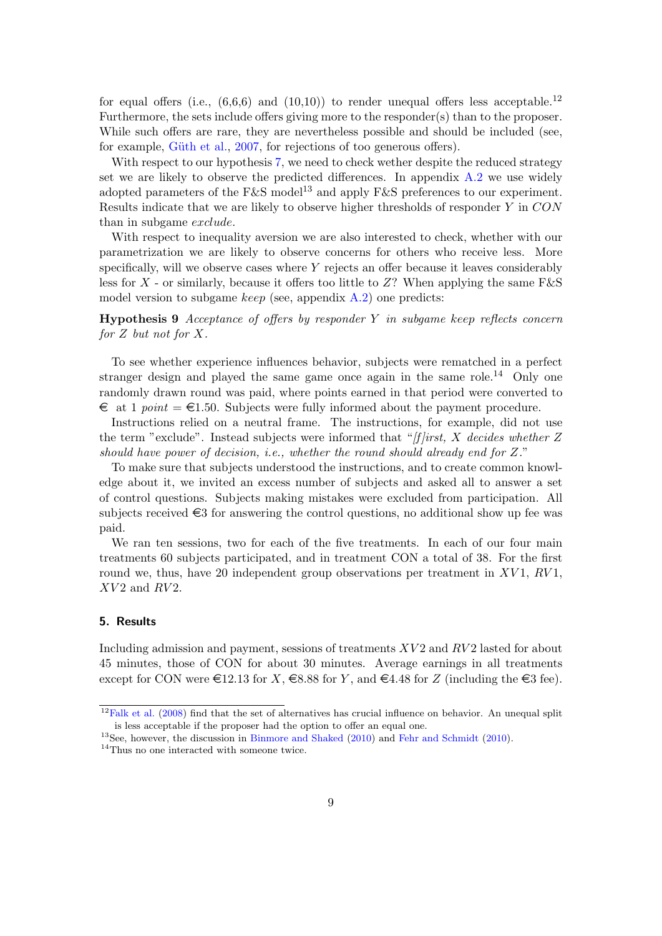for equal offers (i.e.,  $(6,6,6)$  and  $(10,10)$ ) to render unequal offers less acceptable.<sup>12</sup> Furthermore, the sets include offers giving more to the responder(s) than to the proposer. While such offers are rare, they are nevertheless possible and should be included (see, for example, Güth et al., 2007, for rejections of too generous offers).

With respect to our hypothesis 7, we need to check wether despite the reduced strategy set we are likely to observe the predicted differences. In appendix  $A.2$  we use widely adopted parameters of the F&S model<sup>13</sup> and apply F&S preferences to our experiment. Results indicate that we are likely to observe higher thresholds of responder *Y* in *CON* than in subgame *exclude*.

With respect to inequality aversion we are also interested to check, whether with our parametrization we are likely to observe concerns for others who receive less. More specifically, will we observe cases where *Y* rejects an offer because it leaves considerably less for *X* - or similarly, because it offers too little to *Z*? When applying the same F&S model version to subgame *keep* (see, appendix A.2) one predicts:

**Hypothesis 9** *Acceptance of offers by responder Y in subgame keep reflects concern for Z but not for X.*

To see whether experience influences behavior, subjects were rematched in a perfect stranger design and played the same game once again in the same role.<sup>14</sup> Only one randomly drawn round was paid, where points earned in that period were converted to  $\epsilon$  at 1 *point* =  $\epsilon$ 1.50. Subjects were fully informed about the payment procedure.

Instructions relied on a neutral frame. The instructions, for example, did not use the term "exclude". Instead subjects were informed that "*[f ]irst, X decides whether Z should have power of decision, i.e., whether the round should already end for Z.*"

To make sure that subjects understood the instructions, and to create common knowledge about it, we invited an excess number of subjects and asked all to answer a set of control questions. Subjects making mistakes were excluded from participation. All subjects received  $\epsilon$ 3 for answering the control questions, no additional show up fee was paid.

We ran ten sessions, two for each of the five treatments. In each of our four main treatments 60 subjects participated, and in treatment CON a total of 38. For the first round we, thus, have 20 independent group observations per treatment in *XV* 1, *RV* 1, *XV* 2 and *RV* 2.

## **5. Results**

Including admission and payment, sessions of treatments *XV* 2 and *RV* 2 lasted for about 45 minutes, those of CON for about 30 minutes. Average earnings in all treatments except for CON were  $\in$ 12.13 for *X*,  $\in$ 8.88 for *Y*, and  $\in$ 4.48 for *Z* (including the  $\in$ 3 fee).

 $12$ Falk et al. (2008) find that the set of alternatives has crucial influence on behavior. An unequal split is less acceptable if the proposer had the option to offer an equal one.

<sup>&</sup>lt;sup>13</sup>See, however, the discussion in Binmore and Shaked (2010) and Fehr and Schmidt (2010).

<sup>&</sup>lt;sup>14</sup>Thus no one interacted with someone twice.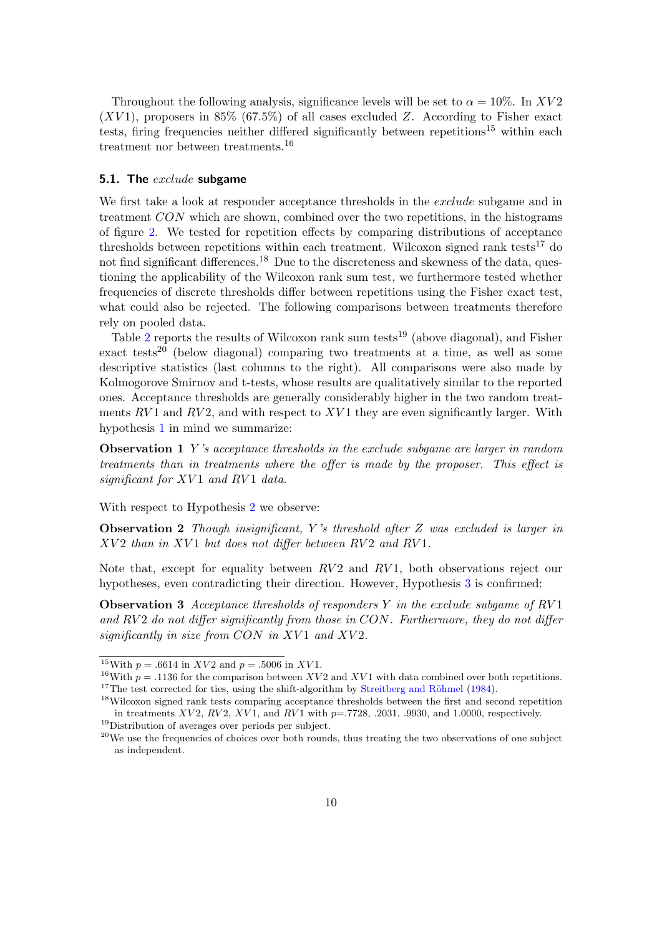Throughout the following analysis, significance levels will be set to  $\alpha = 10\%$ . In XV2  $(XV1)$ , proposers in 85% (67.5%) of all cases excluded *Z*. According to Fisher exact tests, firing frequencies neither differed significantly between repetitions<sup>15</sup> within each treatment nor between treatments.<sup>16</sup>

## **5.1. The** *exclude* **subgame**

We first take a look at responder acceptance thresholds in the *exclude* subgame and in treatment *CON* which are shown, combined over the two repetitions, in the histograms of figure 2. We tested for repetition effects by comparing distributions of acceptance thresholds between repetitions within each treatment. Wilcoxon signed rank tests<sup>17</sup> do not find significant differences.<sup>18</sup> Due to the discreteness and skewness of the data, questioning the applicability of the Wilcoxon rank sum test, we furthermore tested whether frequencies of discrete thresholds differ between repetitions using the Fisher exact test, what could also be rejected. The following comparisons between treatments therefore rely on pooled data.

Table 2 reports the results of Wilcoxon rank sum tests<sup>19</sup> (above diagonal), and Fisher exact tests<sup>20</sup> (below diagonal) comparing two treatments at a time, as well as some descriptive statistics (last columns to the right). All comparisons were also made by Kolmogorove Smirnov and t-tests, whose results are qualitatively similar to the reported ones. Acceptance thresholds are generally considerably higher in the two random treatments *RV* 1 and *RV* 2, and with respect to *XV* 1 they are even significantly larger. With hypothesis 1 in mind we summarize:

**Observation 1** *Y 's acceptance thresholds in the exclude subgame are larger in random treatments than in treatments where the offer is made by the proposer. This effect is significant for XV* 1 *and RV* 1 *data.*

With respect to Hypothesis 2 we observe:

**Observation 2** *Though insignificant, Y 's threshold after Z was excluded is larger in XV* 2 *than in XV* 1 *but does not differ between RV* 2 *and RV* 1*.*

Note that, except for equality between *RV* 2 and *RV* 1, both observations reject our hypotheses, even contradicting their direction. However, Hypothesis 3 is confirmed:

**Observation 3** *Acceptance thresholds of responders Y in the exclude subgame of RV* 1 *and RV* 2 *do not differ significantly from those in CON. Furthermore, they do not differ significantly in size from CON in XV* 1 *and XV* 2*.*

<sup>&</sup>lt;sup>15</sup>With  $p = .6614$  in *XV2* and  $p = .5006$  in *XV1*.

<sup>&</sup>lt;sup>16</sup>With  $p = .1136$  for the comparison between *XV* 2 and *XV* 1 with data combined over both repetitions.  $17$ The test corrected for ties, using the shift-algorithm by Streitberg and Röhmel (1984).

<sup>18</sup>Wilcoxon signed rank tests comparing acceptance thresholds between the first and second repetition in treatments *XV2*, *RV2*, *XV1*, and *RV1* with  $p=$ .7728, .2031, .9930, and 1.0000, respectively. <sup>19</sup>Distribution of averages over periods per subject.

<sup>&</sup>lt;sup>20</sup>We use the frequencies of choices over both rounds, thus treating the two observations of one subject as independent.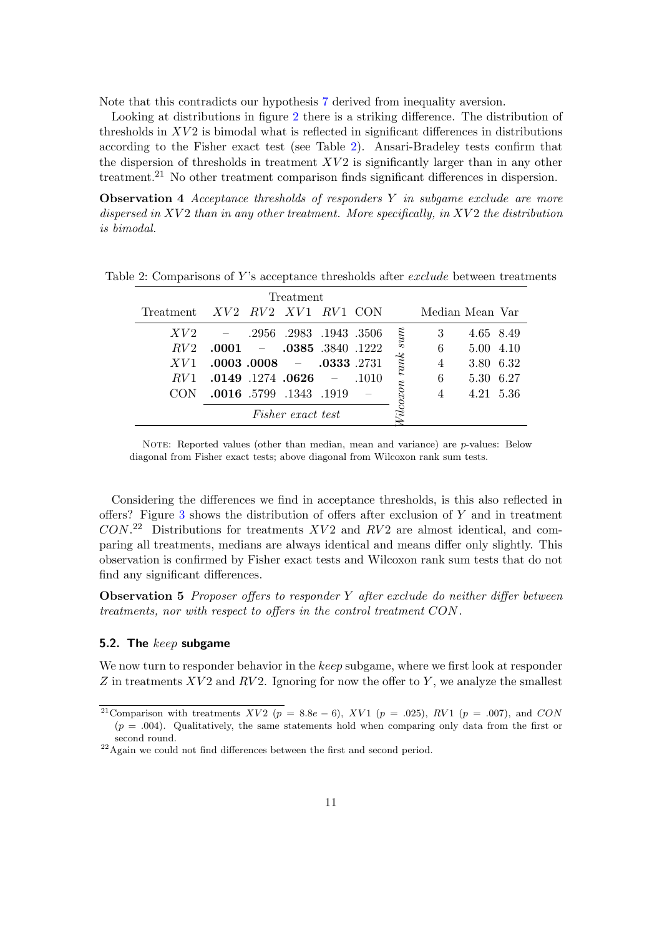Note that this contradicts our hypothesis 7 derived from inequality aversion.

Looking at distributions in figure 2 there is a striking difference. The distribution of thresholds in *XV* 2 is bimodal what is reflected in significant differences in distributions according to the Fisher exact test (see Table 2). Ansari-Bradeley tests confirm that the dispersion of thresholds in treatment *XV2* is significantly larger than in any other treatment.<sup>21</sup> No other treatment comparison finds significant differences in dispersion.

**Observation 4** *Acceptance thresholds of responders Y in subgame exclude are more dispersed in XV* 2 *than in any other treatment. More specifically, in XV* 2 *the distribution is bimodal.*

| Treatment       |                                  |                |                    |  |
|-----------------|----------------------------------|----------------|--------------------|--|
|                 | Treatment XV2 RV2 XV1 RV1 CON    |                | Median Mean Var    |  |
| XV2             | $-$ .2956 .2983 .1943 .3506      |                | 3<br>4.65 8.49     |  |
| RV2             | $-$ .0385 .3840 .1222<br>.0001   |                | 6<br>5.00 4.10     |  |
| XV1             | $.0003$ $.0008$ $-.0333$ $.2731$ |                | 3.80 6.32<br>4     |  |
| RV <sub>1</sub> | $.0149$ .1274 .0626 -            | .1010          | -6.27<br>6<br>5.30 |  |
|                 | .0016 .5799 .1343 .1919          | coxon rank sum | 4.21 5.36          |  |
|                 | <i>Fisher exact test</i>         |                |                    |  |

Table 2: Comparisons of *Y* 's acceptance thresholds after *exclude* between treatments

NOTE: Reported values (other than median, mean and variance) are *p*-values: Below diagonal from Fisher exact tests; above diagonal from Wilcoxon rank sum tests.

Considering the differences we find in acceptance thresholds, is this also reflected in offers? Figure 3 shows the distribution of offers after exclusion of *Y* and in treatment *CON*. <sup>22</sup> Distributions for treatments *XV* 2 and *RV* 2 are almost identical, and comparing all treatments, medians are always identical and means differ only slightly. This observation is confirmed by Fisher exact tests and Wilcoxon rank sum tests that do not find any significant differences.

**Observation 5** *Proposer offers to responder Y after exclude do neither differ between treatments, nor with respect to offers in the control treatment CON.*

#### **5.2. The** *keep* **subgame**

We now turn to responder behavior in the *keep* subgame, where we first look at responder *Z* in treatments *XV* 2 and *RV* 2. Ignoring for now the offer to *Y* , we analyze the smallest

<sup>&</sup>lt;sup>21</sup>Comparison with treatments *XV2* ( $p = 8.8e - 6$ ), *XV1* ( $p = .025$ ), *RV1* ( $p = .007$ ), and *CON*  $(p = .004)$ . Qualitatively, the same statements hold when comparing only data from the first or second round.

 $22$ Again we could not find differences between the first and second period.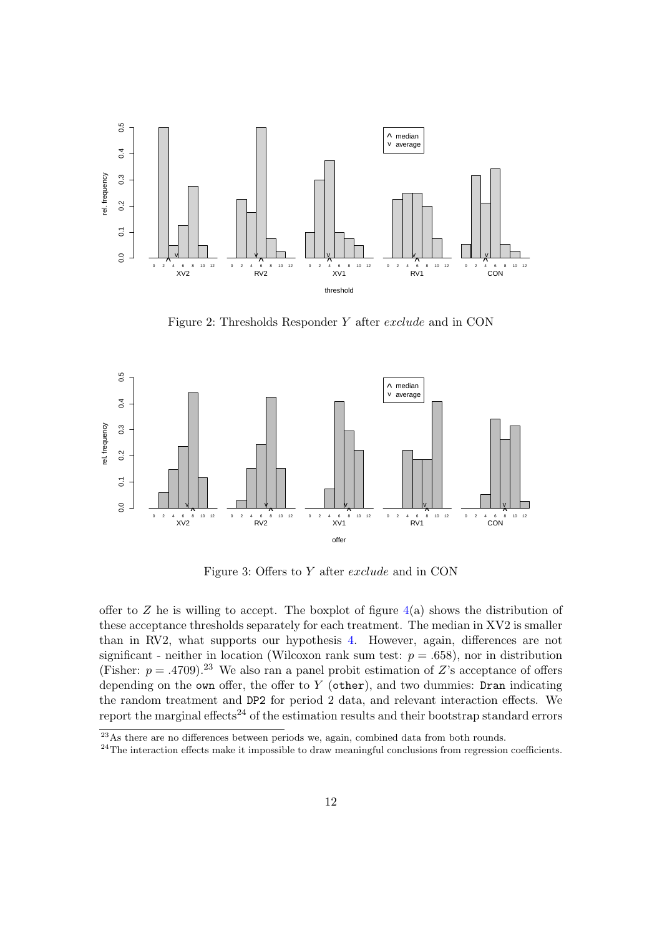

Figure 2: Thresholds Responder *Y* after *exclude* and in CON



Figure 3: Offers to *Y* after *exclude* and in CON

offer to  $Z$  he is willing to accept. The boxplot of figure  $4(a)$  shows the distribution of these acceptance thresholds separately for each treatment. The median in XV2 is smaller than in RV2, what supports our hypothesis 4. However, again, differences are not significant - neither in location (Wilcoxon rank sum test:  $p = .658$ ), nor in distribution (Fisher:  $p = .4709$ ).<sup>23</sup> We also ran a panel probit estimation of *Z*'s acceptance of offers depending on the own offer, the offer to  $Y$  (other), and two dummies: Dran indicating the random treatment and DP2 for period 2 data, and relevant interaction effects. We report the marginal effects<sup>24</sup> of the estimation results and their bootstrap standard errors

 $23$ As there are no differences between periods we, again, combined data from both rounds.

<sup>&</sup>lt;sup>24</sup>The interaction effects make it impossible to draw meaningful conclusions from regression coefficients.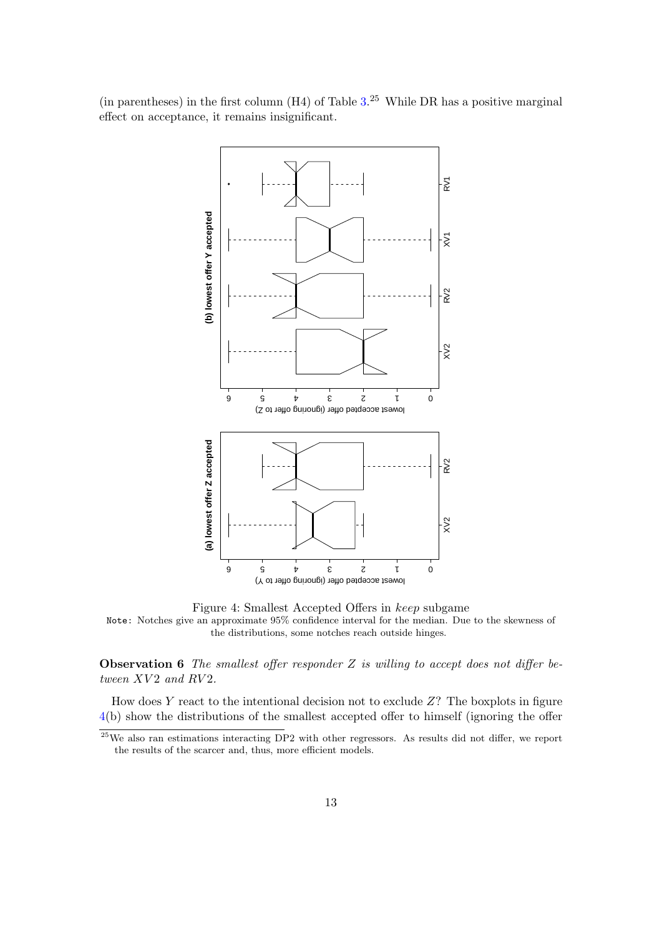(in parentheses) in the first column  $(H4)$  of Table  $3.^{25}$  While DR has a positive marginal effect on acceptance, it remains insignificant.



Figure 4: Smallest Accepted Offers in *keep* subgame Note: Notches give an approximate 95% confidence interval for the median. Due to the skewness of the distributions, some notches reach outside hinges.

**Observation 6** *The smallest offer responder Z is willing to accept does not differ between XV* 2 *and RV* 2*.*

How does *Y* react to the intentional decision not to exclude *Z*? The boxplots in figure 4(b) show the distributions of the smallest accepted offer to himself (ignoring the offer

 $25$ We also ran estimations interacting DP2 with other regressors. As results did not differ, we report the results of the scarcer and, thus, more efficient models.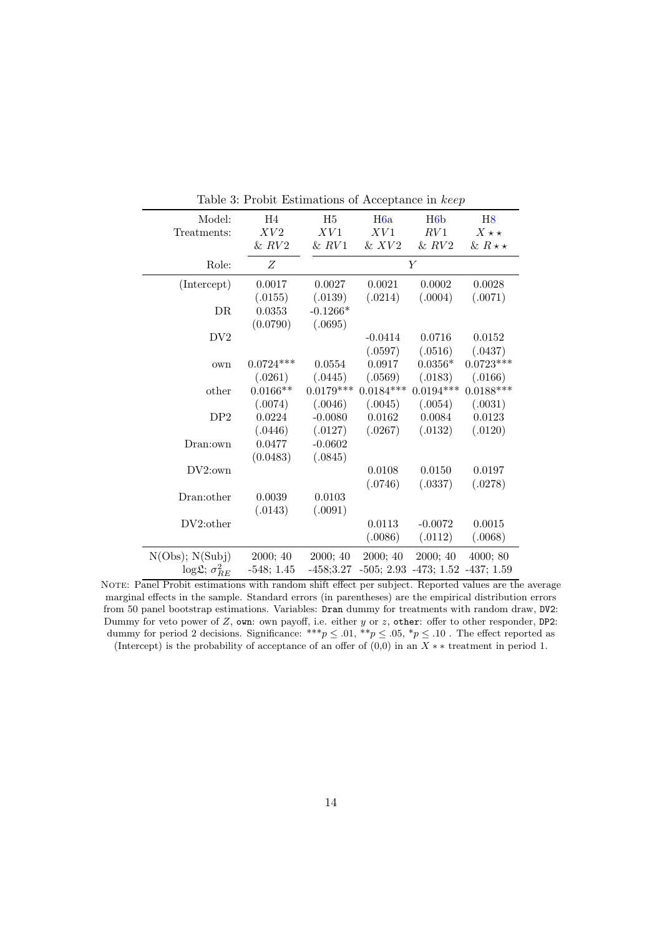| Model:                             | H4           | H <sub>5</sub> | H <sub>6</sub> a | H6b                                | H8                |
|------------------------------------|--------------|----------------|------------------|------------------------------------|-------------------|
| Treatments:                        | XV2          | XV1            | XV1              | RV1                                | $X \star \star$   |
|                                    | & RV2        | & RV1          | $&$ $XV2$        | & RV2                              | & $R \star \star$ |
| Role:                              | Z            |                |                  | $\overline{Y}$                     |                   |
| (Intercept)                        | 0.0017       | 0.0027         | 0.0021           | 0.0002                             | 0.0028            |
|                                    | (.0155)      | (.0139)        | (.0214)          | (.0004)                            | (.0071)           |
| DR                                 | 0.0353       | $-0.1266*$     |                  |                                    |                   |
|                                    | (0.0790)     | (.0695)        |                  |                                    |                   |
| DV <sub>2</sub>                    |              |                | $-0.0414$        | 0.0716                             | 0.0152            |
|                                    |              |                | (.0597)          | (.0516)                            | (.0437)           |
| own                                | $0.0724***$  | 0.0554         | 0.0917           | $0.0356*$                          | $0.0723***$       |
|                                    | (.0261)      | (.0445)        | (.0569)          | (.0183)                            | (.0166)           |
| other                              | $0.0166**$   | $0.0179***$    | $0.0184***$      | $0.0194***$                        | $0.0188***$       |
|                                    | (.0074)      | (.0046)        | (.0045)          | (.0054)                            | (.0031)           |
| DP2                                | 0.0224       | $-0.0080$      | 0.0162           | 0.0084                             | $0.0123\,$        |
|                                    | (.0446)      | (.0127)        | (.0267)          | (.0132)                            | (.0120)           |
| Dran:own                           | 0.0477       | $-0.0602$      |                  |                                    |                   |
|                                    | (0.0483)     | (.0845)        |                  |                                    |                   |
| $DV2$ :own                         |              |                | 0.0108           | 0.0150                             | 0.0197            |
|                                    |              |                | (.0746)          | (.0337)                            | (.0278)           |
| Dran: other                        | 0.0039       | 0.0103         |                  |                                    |                   |
|                                    | (.0143)      | (.0091)        |                  |                                    |                   |
| DV2:other                          |              |                | 0.0113           | $-0.0072$                          | 0.0015            |
|                                    |              |                | (.0086)          | (.0112)                            | (.0068)           |
| N(Obs); N(Subj)                    | 2000; 40     | 2000; 40       | 2000; 40         | 2000; 40                           | 4000; 80          |
| $\log \mathfrak{L}; \sigma_{BE}^2$ | $-548; 1.45$ | $-458;3.27$    |                  | $-505; 2.93 -473; 1.52 -437; 1.59$ |                   |

Table 3: Probit Estimations of Acceptance in *keep*

NOTE: Panel Probit estimations with random shift effect per subject. Reported values are the average marginal effects in the sample. Standard errors (in parentheses) are the empirical distribution errors from 50 panel bootstrap estimations. Variables: Dran dummy for treatments with random draw, DV2: Dummy for veto power of *Z*, own: own payoff, i.e. either *y* or *z*, other: offer to other responder, DP2: dummy for period 2 decisions. Significance: \*\*\* $p \leq .01$ , \*\* $p \leq .05$ , \* $p \leq .10$ . The effect reported as (Intercept) is the probability of acceptance of an offer of (0,0) in an *X ∗ ∗* treatment in period 1.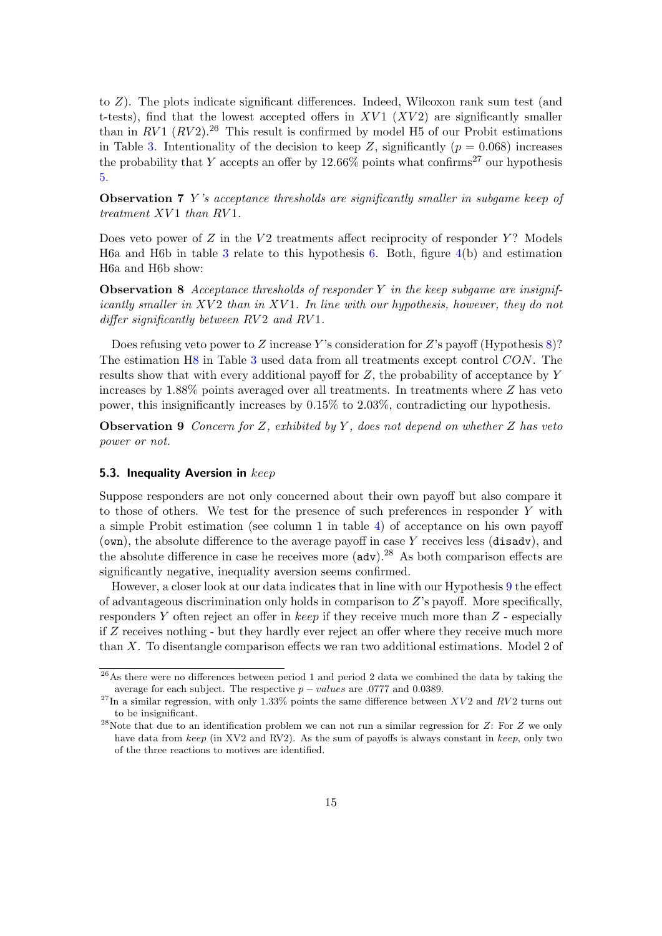to *Z*). The plots indicate significant differences. Indeed, Wilcoxon rank sum test (and t-tests), find that the lowest accepted offers in  $XVI$  ( $XV2$ ) are significantly smaller than in  $RV1$   $(RV2)$ .<sup>26</sup> This result is confirmed by model H5 of our Probit estimations in Table 3. Intentionality of the decision to keep *Z*, significantly ( $p = 0.068$ ) increases the probability that *Y* accepts an offer by  $12.66\%$  points what confirms<sup>27</sup> our hypothesis 5.

**Observation 7** *Y 's acceptance thresholds are significantly smaller in subgame keep of treatment XV* 1 *than RV* 1*.*

Does veto power of *Z* in the *V* 2 treatments affect reciprocity of responder *Y*? Models H6a and H6b in table 3 relate to this hypothesis  $6$ . Both, figure  $4(b)$  and estimation H6a and H6b show:

**Observation 8** *Acceptance thresholds of responder Y in the keep subgame are insignificantly smaller in XV* 2 *than in XV* 1*. In line with our hypothesis, however, they do not differ significantly between*  $RV2$  *and*  $RV1$ *.* 

Does refusing veto power to *Z* increase *Y* 's consideration for *Z*'s payoff (Hypothesis 8)? The estimation H8 in Table 3 used data from all treatments except control *CON*. The results show that with every additional payoff for *Z*, the probability of acceptance by *Y* increases by 1.88% points averaged over all treatments. In treatments where *Z* has veto power, this insignificantly increases by 0.15% to 2.03%, contradicting our hypothesis.

**Observation 9** *Concern for Z, exhibited by Y , does not depend on whether Z has veto power or not.*

#### **5.3. Inequality Aversion in** *keep*

Suppose responders are not only concerned about their own payoff but also compare it to those of others. We test for the presence of such preferences in responder *Y* with a simple Probit estimation (see column 1 in table 4) of acceptance on his own payoff (own), the absolute difference to the average payoff in case *Y* receives less (disadv), and the absolute difference in case he receives more  $(adv).^{28}$  As both comparison effects are significantly negative, inequality aversion seems confirmed.

However, a closer look at our data indicates that in line with our Hypothesis 9 the effect of advantageous discrimination only holds in comparison to *Z*'s payoff. More specifically, responders *Y* often reject an offer in *keep* if they receive much more than *Z* - especially if *Z* receives nothing - but they hardly ever reject an offer where they receive much more than *X*. To disentangle comparison effects we ran two additional estimations. Model 2 of

 $\frac{26}{48}$  there were no differences between period 1 and period 2 data we combined the data by taking the average for each subject. The respective  $p - values$  are .0777 and 0.0389.

 $^{27}$ In a similar regression, with only 1.33% points the same difference between *XV*2 and *RV*2 turns out to be insignificant.

<sup>28</sup>Note that due to an identification problem we can not run a similar regression for *Z*: For *Z* we only have data from *keep* (in XV2 and RV2). As the sum of payoffs is always constant in *keep*, only two of the three reactions to motives are identified.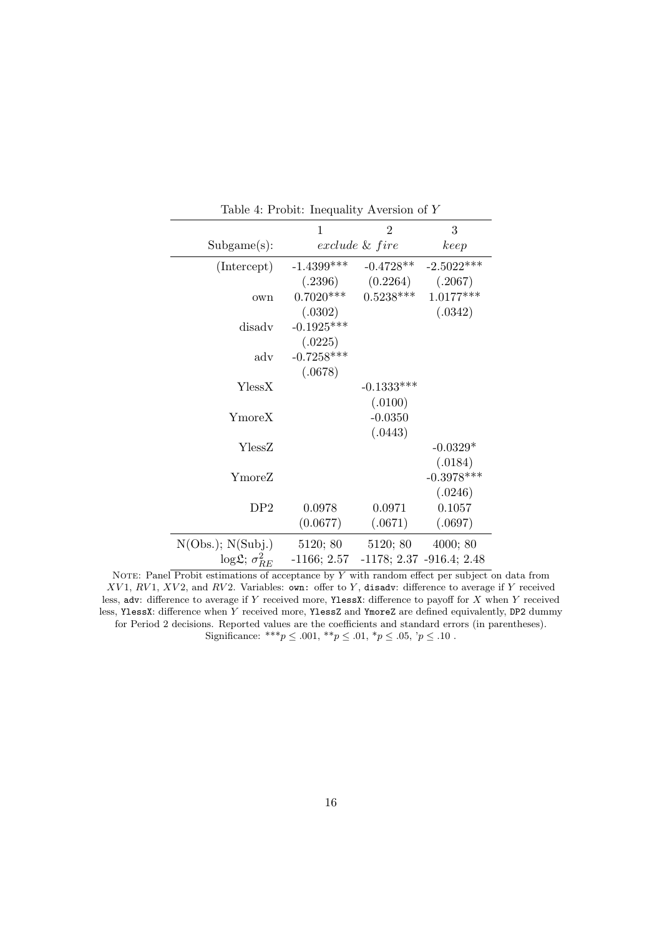|                                       | 1                          | $\overline{2}$                             | 3            |
|---------------------------------------|----------------------------|--------------------------------------------|--------------|
| Subgame(s):                           |                            | exclude & fire                             | keep         |
| (Intercept)                           | $-1.4399***$               | $-0.4728**$                                | $-2.5022***$ |
|                                       |                            | $(.2396)$ $(0.2264)$ $(.2067)$             |              |
| own                                   |                            | $0.7020***$ $0.5238***$                    | $1.0177***$  |
|                                       | (.0302)                    |                                            | (.0342)      |
| disadv                                | $-0.1925***$               |                                            |              |
|                                       | (.0225)                    |                                            |              |
| $\operatorname{adv}$                  | $-0.7258***$               |                                            |              |
|                                       | (.0678)                    |                                            |              |
| YlessX                                |                            | $-0.1333***$                               |              |
|                                       |                            | (.0100)                                    |              |
| YmoreX                                |                            | $-0.0350$                                  |              |
|                                       |                            | (.0443)                                    |              |
| YlessZ                                |                            |                                            | $-0.0329*$   |
|                                       |                            |                                            | (.0184)      |
| YmoreZ                                |                            |                                            | $-0.3978***$ |
|                                       |                            |                                            | (.0246)      |
| DP2                                   | 0.0978                     | 0.0971                                     | 0.1057       |
|                                       | (0.0677)                   | (.0671)                                    | (.0697)      |
| N(Obs.); N(Subj.)                     | 5120; 80 5120; 80 4000; 80 |                                            |              |
| $\log \mathfrak{L}$ ; $\sigma_{BE}^2$ |                            | $-1166; 2.57$ $-1178; 2.37$ $-916.4; 2.48$ |              |

Table 4: Probit: Inequality Aversion of *Y*

NOTE: Panel Probit estimations of acceptance by *Y* with random effect per subject on data from *XV* 1, *RV* 1, *XV* 2, and *RV* 2. Variables: own: offer to *Y* , disadv: difference to average if *Y* received less, adv: difference to average if *Y* received more, YlessX: difference to payoff for *X* when *Y* received less, YlessX: difference when *Y* received more, YlessZ and YmoreZ are defined equivalently, DP2 dummy for Period 2 decisions. Reported values are the coefficients and standard errors (in parentheses). Significance: \*\*\* $p \le .001$ , \*\* $p \le .01$ , \* $p \le .05$ , ' $p \le .10$ .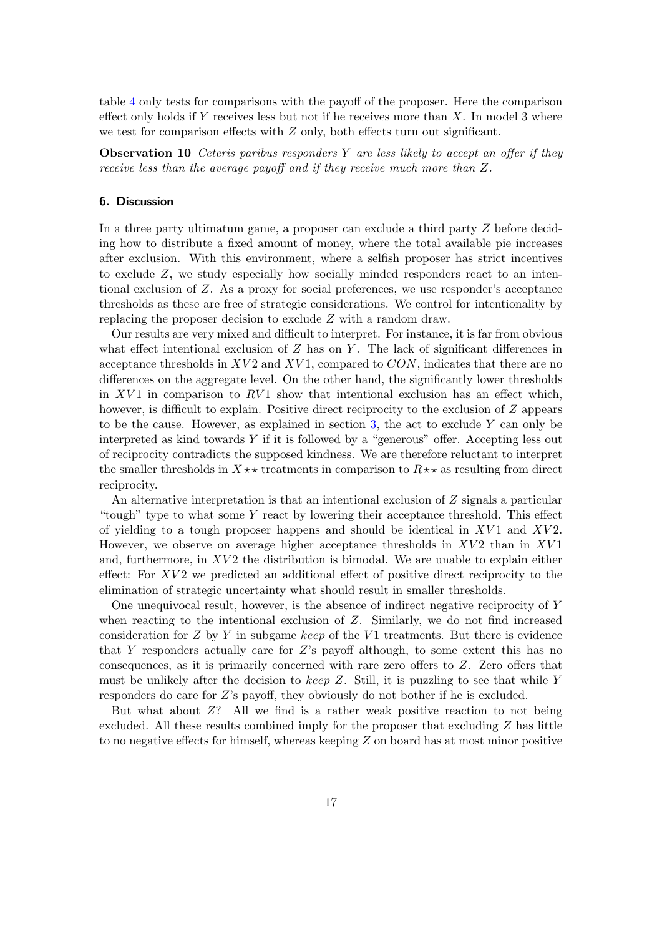table 4 only tests for comparisons with the payoff of the proposer. Here the comparison effect only holds if *Y* receives less but not if he receives more than *X*. In model 3 where we test for comparison effects with *Z* only, both effects turn out significant.

**Observation 10** *Ceteris paribus responders Y are less likely to accept an offer if they receive less than the average payoff and if they receive much more than Z.*

## **6. Discussion**

In a three party ultimatum game, a proposer can exclude a third party *Z* before deciding how to distribute a fixed amount of money, where the total available pie increases after exclusion. With this environment, where a selfish proposer has strict incentives to exclude *Z*, we study especially how socially minded responders react to an intentional exclusion of *Z*. As a proxy for social preferences, we use responder's acceptance thresholds as these are free of strategic considerations. We control for intentionality by replacing the proposer decision to exclude *Z* with a random draw.

Our results are very mixed and difficult to interpret. For instance, it is far from obvious what effect intentional exclusion of *Z* has on *Y*. The lack of significant differences in acceptance thresholds in *XV* 2 and *XV* 1, compared to *CON*, indicates that there are no differences on the aggregate level. On the other hand, the significantly lower thresholds in  $XV1$  in comparison to  $RV1$  show that intentional exclusion has an effect which, however, is difficult to explain. Positive direct reciprocity to the exclusion of *Z* appears to be the cause. However, as explained in section 3, the act to exclude *Y* can only be interpreted as kind towards *Y* if it is followed by a "generous" offer. Accepting less out of reciprocity contradicts the supposed kindness. We are therefore reluctant to interpret the smaller thresholds in  $X \star \star$  treatments in comparison to  $R \star \star$  as resulting from direct reciprocity.

An alternative interpretation is that an intentional exclusion of *Z* signals a particular "tough" type to what some *Y* react by lowering their acceptance threshold. This effect of yielding to a tough proposer happens and should be identical in *XV* 1 and *XV* 2. However, we observe on average higher acceptance thresholds in  $XV2$  than in  $XV1$ and, furthermore, in XV2 the distribution is bimodal. We are unable to explain either effect: For XV2 we predicted an additional effect of positive direct reciprocity to the elimination of strategic uncertainty what should result in smaller thresholds.

One unequivocal result, however, is the absence of indirect negative reciprocity of *Y* when reacting to the intentional exclusion of *Z*. Similarly, we do not find increased consideration for *Z* by *Y* in subgame *keep* of the *V* 1 treatments. But there is evidence that *Y* responders actually care for *Z*'s payoff although, to some extent this has no consequences, as it is primarily concerned with rare zero offers to *Z*. Zero offers that must be unlikely after the decision to *keep Z*. Still, it is puzzling to see that while *Y* responders do care for *Z*'s payoff, they obviously do not bother if he is excluded.

But what about *Z*? All we find is a rather weak positive reaction to not being excluded. All these results combined imply for the proposer that excluding *Z* has little to no negative effects for himself, whereas keeping *Z* on board has at most minor positive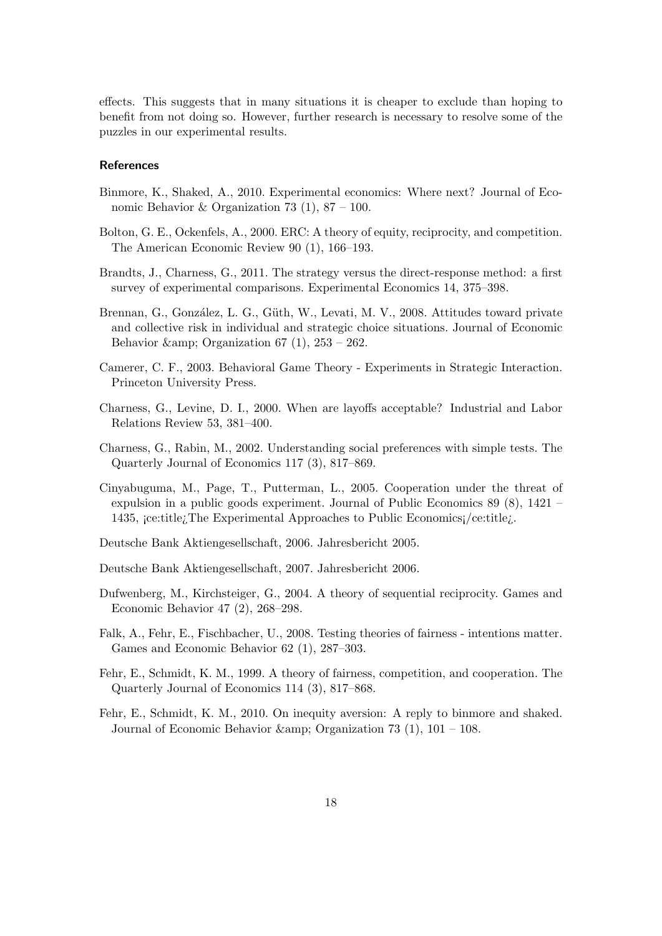effects. This suggests that in many situations it is cheaper to exclude than hoping to benefit from not doing so. However, further research is necessary to resolve some of the puzzles in our experimental results.

## **References**

- Binmore, K., Shaked, A., 2010. Experimental economics: Where next? Journal of Economic Behavior & Organization 73 (1),  $87 - 100$ .
- Bolton, G. E., Ockenfels, A., 2000. ERC: A theory of equity, reciprocity, and competition. The American Economic Review 90 (1), 166–193.
- Brandts, J., Charness, G., 2011. The strategy versus the direct-response method: a first survey of experimental comparisons. Experimental Economics 14, 375–398.
- Brennan, G., González, L. G., Güth, W., Levati, M. V., 2008. Attitudes toward private and collective risk in individual and strategic choice situations. Journal of Economic Behavior & amp; Organization 67 (1),  $253 - 262$ .
- Camerer, C. F., 2003. Behavioral Game Theory Experiments in Strategic Interaction. Princeton University Press.
- Charness, G., Levine, D. I., 2000. When are layoffs acceptable? Industrial and Labor Relations Review 53, 381–400.
- Charness, G., Rabin, M., 2002. Understanding social preferences with simple tests. The Quarterly Journal of Economics 117 (3), 817–869.
- Cinyabuguma, M., Page, T., Putterman, L., 2005. Cooperation under the threat of expulsion in a public goods experiment. Journal of Public Economics 89 (8), 1421 – 1435, ¡ce:title¿The Experimental Approaches to Public Economics¡/ce:title¿.
- Deutsche Bank Aktiengesellschaft, 2006. Jahresbericht 2005.
- Deutsche Bank Aktiengesellschaft, 2007. Jahresbericht 2006.
- Dufwenberg, M., Kirchsteiger, G., 2004. A theory of sequential reciprocity. Games and Economic Behavior 47 (2), 268–298.
- Falk, A., Fehr, E., Fischbacher, U., 2008. Testing theories of fairness intentions matter. Games and Economic Behavior 62 (1), 287–303.
- Fehr, E., Schmidt, K. M., 1999. A theory of fairness, competition, and cooperation. The Quarterly Journal of Economics 114 (3), 817–868.
- Fehr, E., Schmidt, K. M., 2010. On inequity aversion: A reply to binmore and shaked. Journal of Economic Behavior & amp; Organization 73 (1),  $101 - 108$ .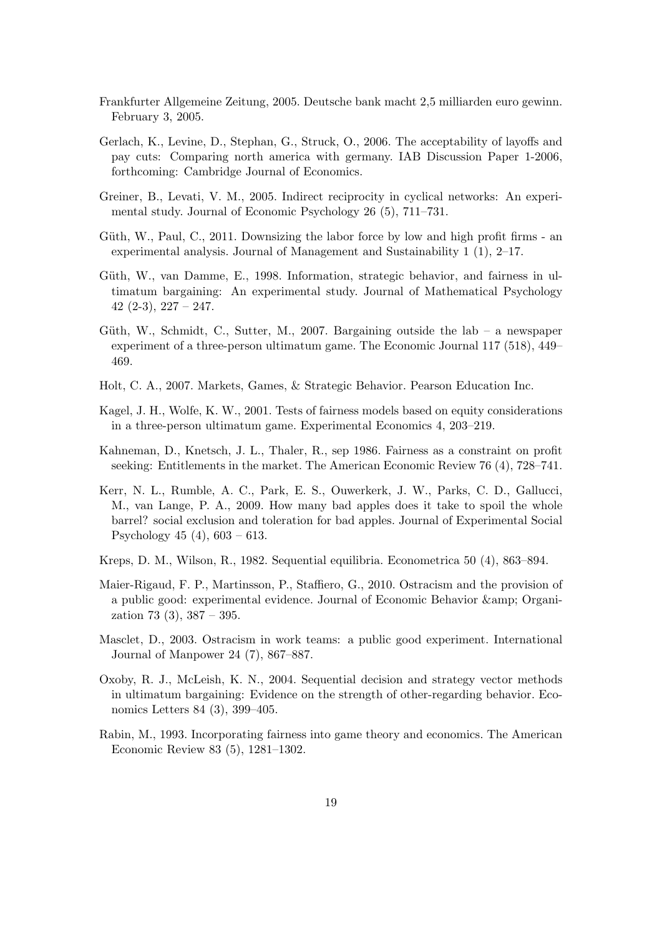- Frankfurter Allgemeine Zeitung, 2005. Deutsche bank macht 2,5 milliarden euro gewinn. February 3, 2005.
- Gerlach, K., Levine, D., Stephan, G., Struck, O., 2006. The acceptability of layoffs and pay cuts: Comparing north america with germany. IAB Discussion Paper 1-2006, forthcoming: Cambridge Journal of Economics.
- Greiner, B., Levati, V. M., 2005. Indirect reciprocity in cyclical networks: An experimental study. Journal of Economic Psychology 26 (5), 711–731.
- Güth, W., Paul, C., 2011. Downsizing the labor force by low and high profit firms an experimental analysis. Journal of Management and Sustainability 1 (1), 2–17.
- Güth, W., van Damme, E., 1998. Information, strategic behavior, and fairness in ultimatum bargaining: An experimental study. Journal of Mathematical Psychology  $42$  (2-3),  $227 - 247$ .
- Güth, W., Schmidt, C., Sutter, M., 2007. Bargaining outside the lab a newspaper experiment of a three-person ultimatum game. The Economic Journal 117 (518), 449– 469.
- Holt, C. A., 2007. Markets, Games, & Strategic Behavior. Pearson Education Inc.
- Kagel, J. H., Wolfe, K. W., 2001. Tests of fairness models based on equity considerations in a three-person ultimatum game. Experimental Economics 4, 203–219.
- Kahneman, D., Knetsch, J. L., Thaler, R., sep 1986. Fairness as a constraint on profit seeking: Entitlements in the market. The American Economic Review 76 (4), 728–741.
- Kerr, N. L., Rumble, A. C., Park, E. S., Ouwerkerk, J. W., Parks, C. D., Gallucci, M., van Lange, P. A., 2009. How many bad apples does it take to spoil the whole barrel? social exclusion and toleration for bad apples. Journal of Experimental Social Psychology 45 (4), 603 – 613.
- Kreps, D. M., Wilson, R., 1982. Sequential equilibria. Econometrica 50 (4), 863–894.
- Maier-Rigaud, F. P., Martinsson, P., Staffiero, G., 2010. Ostracism and the provision of a public good: experimental evidence. Journal of Economic Behavior & amp; Organization 73 (3), 387 – 395.
- Masclet, D., 2003. Ostracism in work teams: a public good experiment. International Journal of Manpower 24 (7), 867–887.
- Oxoby, R. J., McLeish, K. N., 2004. Sequential decision and strategy vector methods in ultimatum bargaining: Evidence on the strength of other-regarding behavior. Economics Letters 84 (3), 399–405.
- Rabin, M., 1993. Incorporating fairness into game theory and economics. The American Economic Review 83 (5), 1281–1302.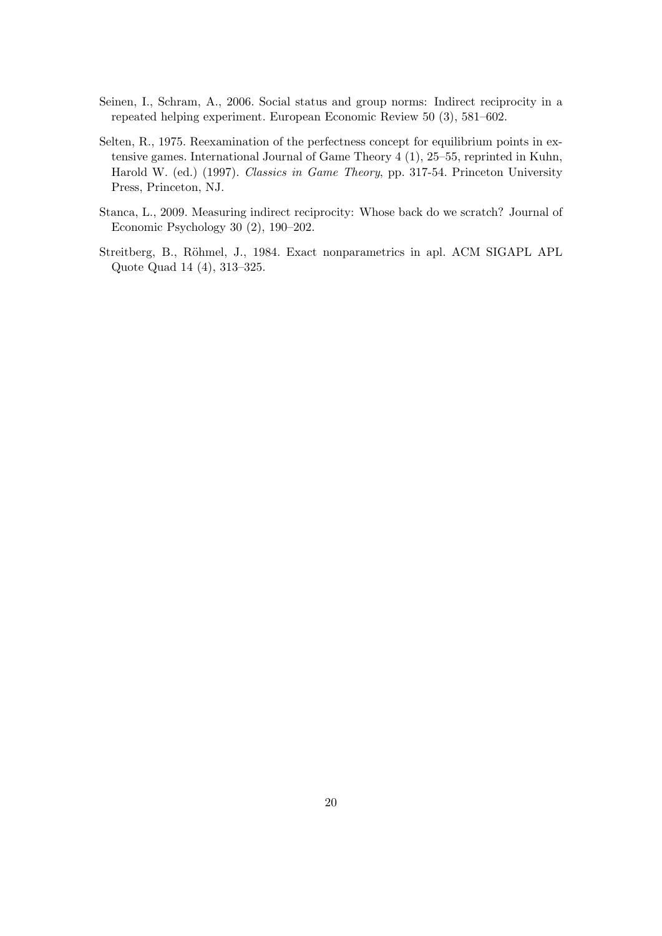- Seinen, I., Schram, A., 2006. Social status and group norms: Indirect reciprocity in a repeated helping experiment. European Economic Review 50 (3), 581–602.
- Selten, R., 1975. Reexamination of the perfectness concept for equilibrium points in extensive games. International Journal of Game Theory 4 (1), 25–55, reprinted in Kuhn, Harold W. (ed.) (1997). *Classics in Game Theory*, pp. 317-54. Princeton University Press, Princeton, NJ.
- Stanca, L., 2009. Measuring indirect reciprocity: Whose back do we scratch? Journal of Economic Psychology 30 (2), 190–202.
- Streitberg, B., Röhmel, J., 1984. Exact nonparametrics in apl. ACM SIGAPL APL Quote Quad 14 (4), 313–325.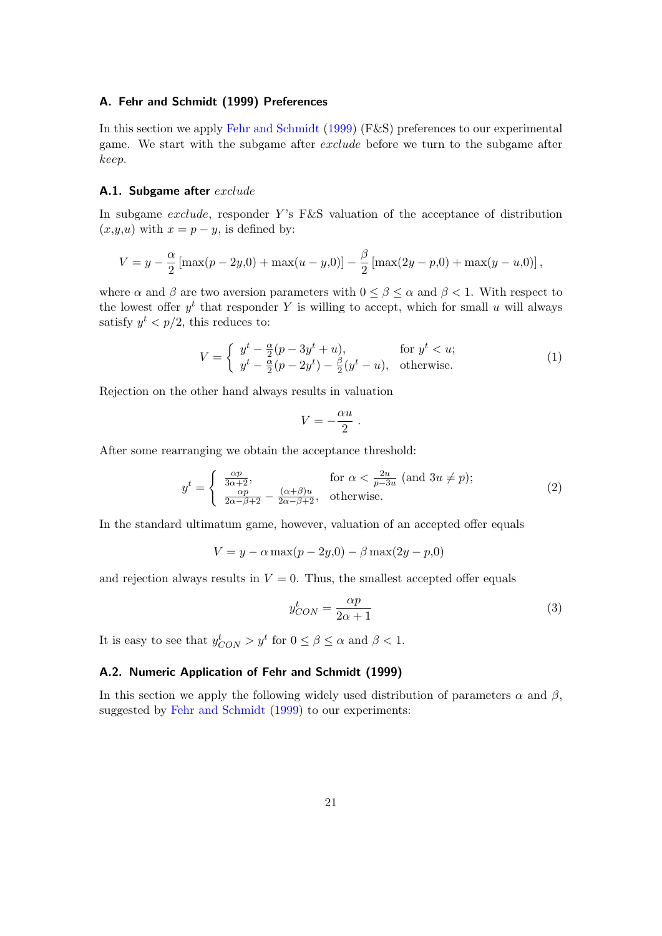## **A. Fehr and Schmidt (1999) Preferences**

In this section we apply Fehr and Schmidt (1999) (F&S) preferences to our experimental game. We start with the subgame after *exclude* before we turn to the subgame after *keep*.

#### **A.1. Subgame after** *exclude*

In subgame *exclude*, responder *Y*'s F&S valuation of the acceptance of distribution  $(x,y,u)$  with  $x = p - y$ , is defined by:

$$
V = y - \frac{\alpha}{2} [\max(p - 2y, 0) + \max(u - y, 0)] - \frac{\beta}{2} [\max(2y - p, 0) + \max(y - u, 0)],
$$

where  $\alpha$  and  $\beta$  are two aversion parameters with  $0 \leq \beta \leq \alpha$  and  $\beta \leq 1$ . With respect to the lowest offer  $y^t$  that responder Y is willing to accept, which for small  $u$  will always satisfy  $y^t < p/2$ , this reduces to:

$$
V = \begin{cases} y^t - \frac{\alpha}{2}(p - 3y^t + u), & \text{for } y^t < u; \\ y^t - \frac{\alpha}{2}(p - 2y^t) - \frac{\beta}{2}(y^t - u), & \text{otherwise.} \end{cases}
$$
(1)

Rejection on the other hand always results in valuation

$$
V=-\frac{\alpha u}{2}.
$$

After some rearranging we obtain the acceptance threshold:

$$
y^{t} = \begin{cases} \frac{\alpha p}{3\alpha + 2}, & \text{for } \alpha < \frac{2u}{p - 3u} \text{ (and } 3u \neq p);\\ \frac{\alpha p}{2\alpha - \beta + 2} - \frac{(\alpha + \beta)u}{2\alpha - \beta + 2}, & \text{otherwise.} \end{cases}
$$
(2)

In the standard ultimatum game, however, valuation of an accepted offer equals

$$
V = y - \alpha \max(p - 2y, 0) - \beta \max(2y - p, 0)
$$

and rejection always results in  $V = 0$ . Thus, the smallest accepted offer equals

$$
y_{CON}^t = \frac{\alpha p}{2\alpha + 1} \tag{3}
$$

It is easy to see that  $y_{CON}^t > y^t$  for  $0 \le \beta \le \alpha$  and  $\beta < 1$ .

## **A.2. Numeric Application of Fehr and Schmidt (1999)**

In this section we apply the following widely used distribution of parameters  $\alpha$  and  $\beta$ , suggested by Fehr and Schmidt (1999) to our experiments: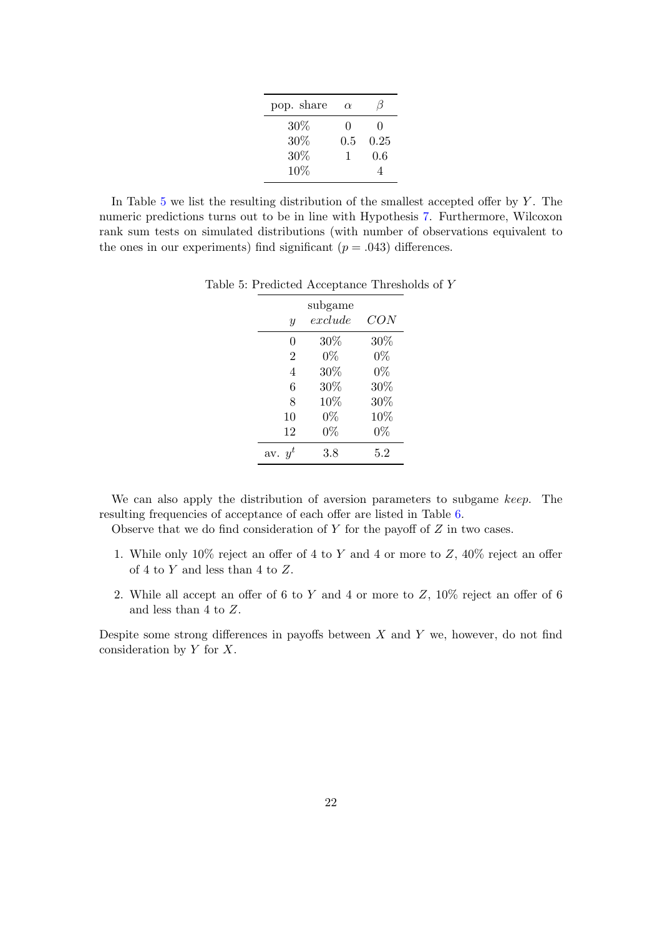| pop. share | $\alpha$     |              |
|------------|--------------|--------------|
| 30%        | $\mathbf{0}$ | $\mathbf{0}$ |
| 30%        | 0.5          | 0.25         |
| 30%        | 1            | 0.6          |
| 10%        |              |              |

In Table 5 we list the resulting distribution of the smallest accepted offer by *Y* . The numeric predictions turns out to be in line with Hypothesis 7. Furthermore, Wilcoxon rank sum tests on simulated distributions (with number of observations equivalent to the ones in our experiments) find significant  $(p = .043)$  differences.

| $\mathcal{Y}$  | subgame<br>$\it exclude$ | CON   |
|----------------|--------------------------|-------|
| 0              | 30%                      | 30%   |
| $\overline{2}$ | $0\%$                    | $0\%$ |
| 4              | 30%                      | $0\%$ |
| 6              | 30%                      | 30%   |
| 8              | 10%                      | 30%   |
| 10             | $0\%$                    | 10%   |
| 12             | $0\%$                    | $0\%$ |
| av. $y^t$      | 3.8                      | 5.2   |

Table 5: Predicted Acceptance Thresholds of *Y*

We can also apply the distribution of aversion parameters to subgame *keep*. The resulting frequencies of acceptance of each offer are listed in Table 6.

Observe that we do find consideration of *Y* for the payoff of *Z* in two cases.

- 1. While only 10% reject an offer of 4 to *Y* and 4 or more to *Z*, 40% reject an offer of 4 to *Y* and less than 4 to *Z*.
- 2. While all accept an offer of 6 to *Y* and 4 or more to *Z*, 10% reject an offer of 6 and less than 4 to *Z*.

Despite some strong differences in payoffs between *X* and *Y* we, however, do not find consideration by *Y* for *X*.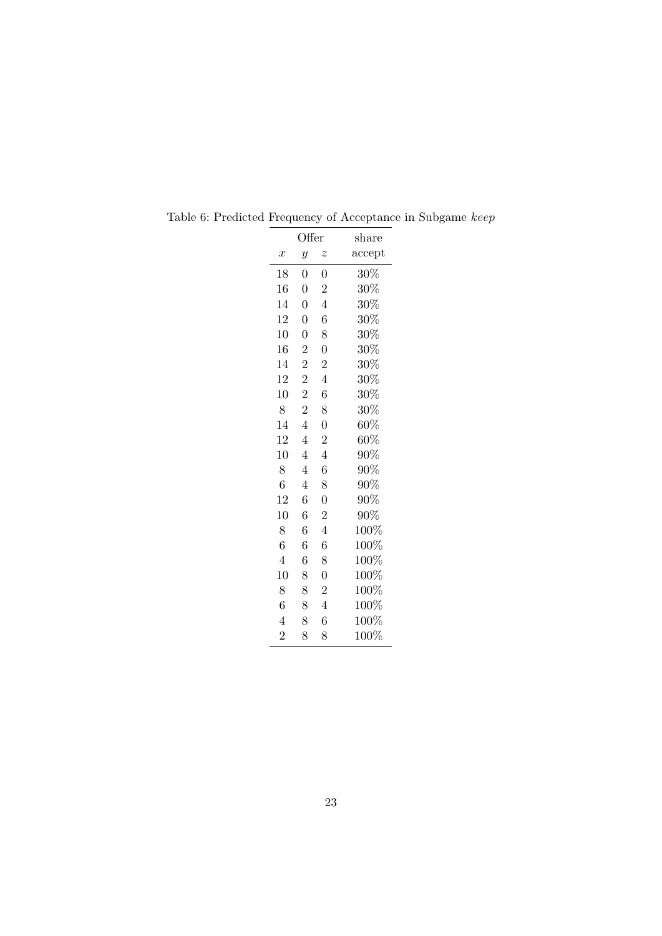| Offer            |                  |                  | $_{\text{share}}$ |
|------------------|------------------|------------------|-------------------|
| $\boldsymbol{x}$ | $\overline{y}$   | $\boldsymbol{z}$ | accept            |
| 18               | $\boldsymbol{0}$ | 0                | $30\%$            |
| 16               | $\overline{0}$   | $\overline{2}$   | $30\%$            |
| 14               | $\boldsymbol{0}$ | $\overline{4}$   | $30\%$            |
| 12               | $\overline{0}$   | 6                | $30\%$            |
| 10               | $\overline{0}$   | 8                | $30\%$            |
| 16               | $\boldsymbol{2}$ | $\boldsymbol{0}$ | $30\%$            |
| 14               | $\overline{2}$   | $\overline{2}$   | $30\%$            |
| 12               | $\overline{2}$   | $\overline{4}$   | $30\%$            |
| 10               | $\overline{2}$   | 6                | $30\%$            |
| 8                | $\overline{2}$   | 8                | $30\%$            |
| 14               | $\overline{4}$   | $\overline{0}$   | $60\%$            |
| 12               | $\overline{4}$   | $\overline{2}$   | $60\%$            |
| 10               | 4                | $\overline{4}$   | $90\%$            |
| 8                | $\overline{4}$   | 6                | $90\%$            |
| 6                | $\overline{4}$   | 8                | $90\%$            |
| 12               | 6                | $\overline{0}$   | $90\%$            |
| 10               | 6                | $\overline{2}$   | 90%               |
| 8                | 6                | $\overline{4}$   | 100%              |
| $\sqrt{6}$       | 6                | 6                | $100\%$           |
| $\overline{4}$   | 6                | 8                | 100%              |
| $10\,$           | 8                | $\overline{0}$   | $100\%$           |
| 8                | 8                | $\overline{2}$   | $100\%$           |
| $\overline{6}$   | 8                | $\overline{4}$   | 100%              |
| $\overline{4}$   | 8                | 6                | 100%              |
| $\overline{2}$   | 8                | 8                | $100\%$           |

Table 6: Predicted Frequency of Acceptance in Subgame *keep*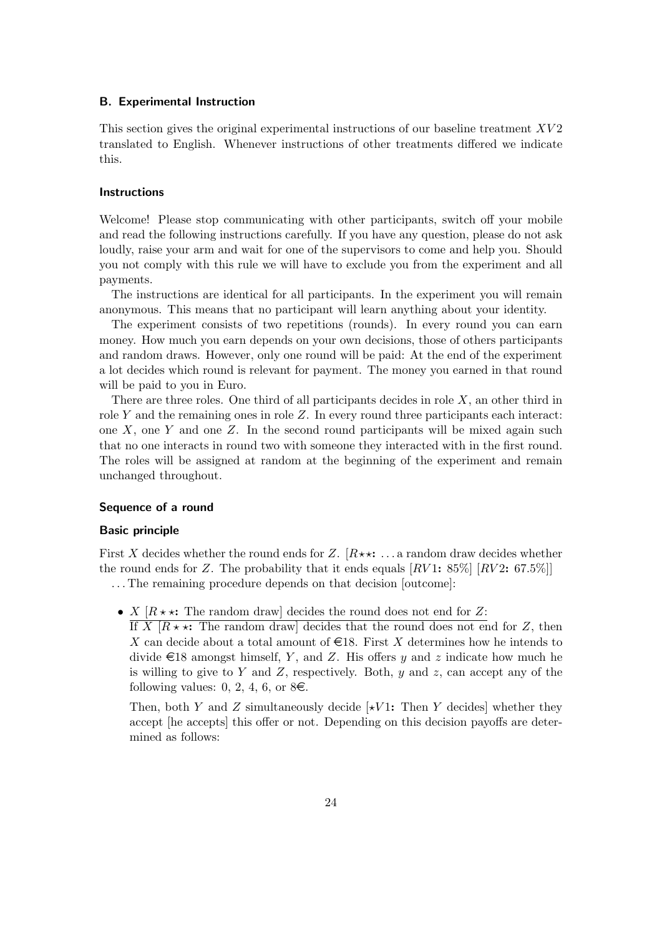## **B. Experimental Instruction**

This section gives the original experimental instructions of our baseline treatment *XV* 2 translated to English. Whenever instructions of other treatments differed we indicate this.

#### **Instructions**

Welcome! Please stop communicating with other participants, switch off your mobile and read the following instructions carefully. If you have any question, please do not ask loudly, raise your arm and wait for one of the supervisors to come and help you. Should you not comply with this rule we will have to exclude you from the experiment and all payments.

The instructions are identical for all participants. In the experiment you will remain anonymous. This means that no participant will learn anything about your identity.

The experiment consists of two repetitions (rounds). In every round you can earn money. How much you earn depends on your own decisions, those of others participants and random draws. However, only one round will be paid: At the end of the experiment a lot decides which round is relevant for payment. The money you earned in that round will be paid to you in Euro.

There are three roles. One third of all participants decides in role *X*, an other third in role *Y* and the remaining ones in role *Z*. In every round three participants each interact: one *X*, one *Y* and one *Z*. In the second round participants will be mixed again such that no one interacts in round two with someone they interacted with in the first round. The roles will be assigned at random at the beginning of the experiment and remain unchanged throughout.

#### **Sequence of a round**

#### **Basic principle**

First X decides whether the round ends for  $Z$ .  $[R**: \dots$  a random draw decides whether the round ends for *Z*. The probability that it ends equals  $\lfloor RV1 \cdot 85\% \rfloor \lfloor RV2 \cdot 67.5\% \rfloor$ . . . The remaining procedure depends on that decision [outcome]:

- *X*  $[R \star \star:$  The random draw] decides the round does not end for *Z*:
	- If  $X$   $\vert R \star \star$ : The random draw] decides that the round does not end for  $Z$ , then X can decide about a total amount of  $\epsilon$ 18. First X determines how he intends to divide  $\in$  18 amongst himself, *Y*, and *Z*. His offers *y* and *z* indicate how much he is willing to give to *Y* and *Z*, respectively. Both, *y* and *z*, can accept any of the following values: 0, 2, 4, 6, or  $8\epsilon$ .

Then, both *Y* and *Z* simultaneously decide  $\left[\star V1\right]$ : Then *Y* decides whether they accept [he accepts] this offer or not. Depending on this decision payoffs are determined as follows: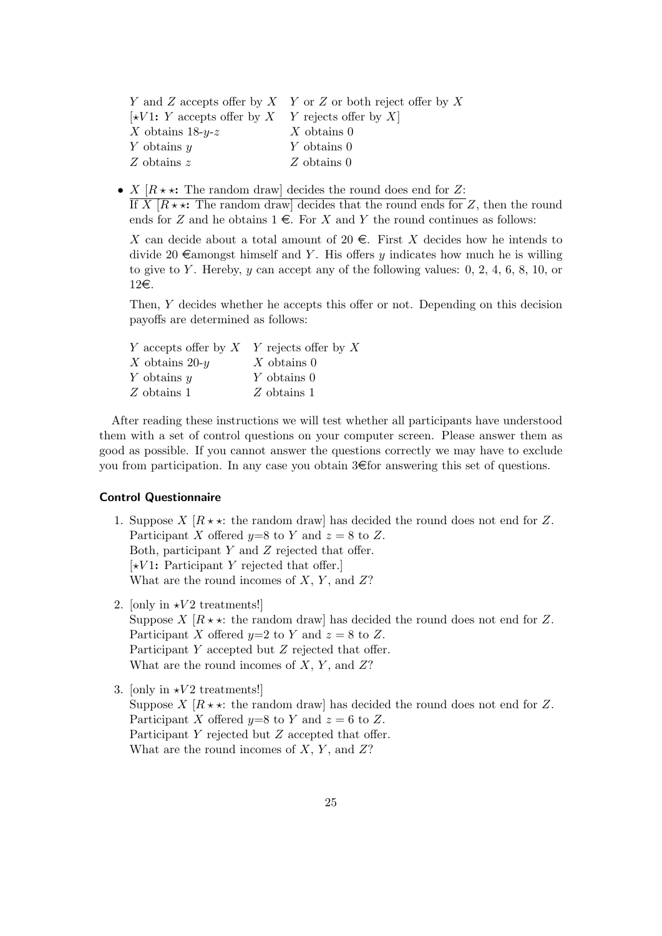|                                                                    | Y and Z accepts offer by X Y or Z or both reject offer by X |
|--------------------------------------------------------------------|-------------------------------------------------------------|
| $\left[\star V1: Y\right]$ accepts offer by X Y rejects offer by X |                                                             |
| X obtains $18-y-z$                                                 | $X$ obtains 0                                               |
| Y obtains $y$                                                      | $Y$ obtains 0                                               |
| Z obtains $z$                                                      | $Z$ obtains 0                                               |

• *X*  $[R \star \star:$  The random draw] decides the round does end for *Z*:

If *X*  $[R \star \star:$  The random draw] decides that the round ends for *Z*, then the round ends for *Z* and he obtains  $1 \in$ . For *X* and *Y* the round continues as follows:

*X* can decide about a total amount of 20  $\epsilon$ . First *X* decides how he intends to divide 20  $\epsilon$ amongst himself and *Y*. His offers *y* indicates how much he is willing to give to *Y* . Hereby, *y* can accept any of the following values: 0, 2, 4, 6, 8, 10, or 12€.

Then, *Y* decides whether he accepts this offer or not. Depending on this decision payoffs are determined as follows:

| Y accepts offer by $X$ Y rejects offer by X |               |
|---------------------------------------------|---------------|
| X obtains $20-y$                            | X obtains $0$ |
| Y obtains $y$                               | Y obtains 0   |
| Z obtains 1                                 | $Z$ obtains 1 |

After reading these instructions we will test whether all participants have understood them with a set of control questions on your computer screen. Please answer them as good as possible. If you cannot answer the questions correctly we may have to exclude you from participation. In any case you obtain  $3 \in \text{for}$  answering this set of questions.

#### **Control Questionnaire**

- 1. Suppose  $X \mid R \star \star$ : the random draw has decided the round does not end for Z. Participant *X* offered  $y=8$  to *Y* and  $z=8$  to *Z*. Both, participant *Y* and *Z* rejected that offer. [*⋆V* 1**:** Participant *Y* rejected that offer.] What are the round incomes of *X*, *Y* , and *Z*?
- 2. [only in  $\star V2$  treatments!] Suppose *X*  $[R \star \star]$ : the random draw] has decided the round does not end for *Z*. Participant *X* offered  $y=2$  to *Y* and  $z=8$  to *Z*. Participant *Y* accepted but *Z* rejected that offer. What are the round incomes of *X*, *Y* , and *Z*?
- 3. [only in  $\star V2$  treatments!] Suppose *X*  $[R \star \star]$ : the random draw] has decided the round does not end for *Z*. Participant *X* offered  $y=8$  to *Y* and  $z=6$  to *Z*. Participant *Y* rejected but *Z* accepted that offer. What are the round incomes of *X*, *Y* , and *Z*?